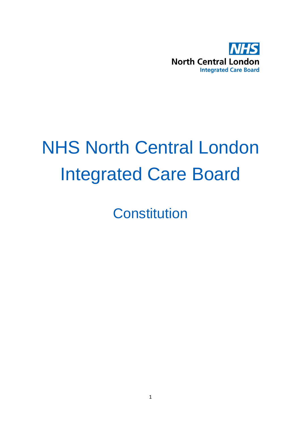

# NHS North Central London Integrated Care Board

**Constitution**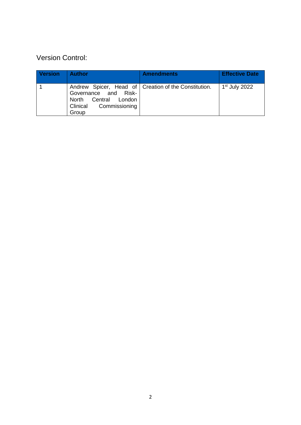# Version Control:

| <b>Version</b> | <b>Author</b>                                                                      | <b>Amendments</b>                                      | <b>Effective Date</b> |
|----------------|------------------------------------------------------------------------------------|--------------------------------------------------------|-----------------------|
|                | Governance and Risk-<br>North Central London<br>Commissioning<br>Clinical<br>Group | Andrew Spicer, Head of   Creation of the Constitution. | $1st$ July 2022       |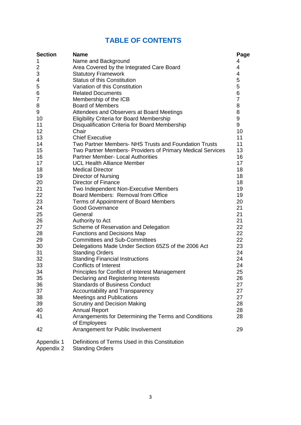# **TABLE OF CONTENTS**

| <b>Section</b>           | <b>Name</b>                                                              | Page     |
|--------------------------|--------------------------------------------------------------------------|----------|
| 1                        | Name and Background                                                      | 4        |
| 2                        | Area Covered by the Integrated Care Board                                | 4        |
| 3                        | <b>Statutory Framework</b>                                               | 4        |
| 4                        | <b>Status of this Constitution</b>                                       | 5        |
| 5                        | Variation of this Constitution                                           | 5        |
| 6                        | <b>Related Documents</b>                                                 | 6        |
| $\overline{7}$           | Membership of the ICB                                                    | 7        |
| 8                        | <b>Board of Members</b>                                                  | 8        |
| 9                        | Attendees and Observers at Board Meetings                                | 8        |
| 10                       | <b>Eligibility Criteria for Board Membership</b>                         | 9        |
| 11                       | Disqualification Criteria for Board Membership                           | 9        |
| 12                       | Chair                                                                    | 10       |
| 13                       | <b>Chief Executive</b>                                                   | 11       |
| 14                       | Two Partner Members- NHS Trusts and Foundation Trusts                    | 11       |
| 15                       | Two Partner Members- Providers of Primary Medical Services               | 13       |
| 16                       | <b>Partner Member- Local Authorities</b>                                 | 16       |
| 17                       | <b>UCL Health Alliance Member</b>                                        | 17       |
| 18                       | <b>Medical Director</b>                                                  | 18       |
| 19                       | <b>Director of Nursing</b>                                               | 18       |
| 20                       | Director of Finance                                                      | 18       |
| 21                       | Two Independent Non-Executive Members                                    | 19       |
| 22                       | Board Members: Removal from Office                                       | 19       |
| 23                       | Terms of Appointment of Board Members                                    | 20       |
| 24                       | <b>Good Governance</b>                                                   | 21       |
| 25                       | General                                                                  | 21       |
| 26                       | Authority to Act                                                         | 21       |
| 27                       | Scheme of Reservation and Delegation                                     | 22       |
| 28                       | <b>Functions and Decisions Map</b>                                       | 22       |
| 29                       | <b>Committees and Sub-Committees</b>                                     | 22       |
| 30                       | Delegations Made Under Section 65ZS of the 2006 Act                      | 23<br>24 |
| 31<br>32                 | <b>Standing Orders</b>                                                   | 24       |
| 33                       | <b>Standing Financial Instructions</b><br>Conflicts of Interest          | 24       |
| 34                       | Principles for Conflict of Interest Management                           | 25       |
| 35                       | Declaring and Registering Interests                                      | 26       |
| 36                       | <b>Standards of Business Conduct</b>                                     | 27       |
| 37                       | Accountability and Transparency                                          | 27       |
| 38                       | <b>Meetings and Publications</b>                                         | 27       |
| 39                       | <b>Scrutiny and Decision Making</b>                                      | 28       |
| 40                       | <b>Annual Report</b>                                                     | 28       |
| 41                       | Arrangements for Determining the Terms and Conditions                    | 28       |
|                          | of Employees                                                             |          |
| 42                       | Arrangement for Public Involvement                                       | 29       |
| Appendix 1<br>Appendix 2 | Definitions of Terms Used in this Constitution<br><b>Standing Orders</b> |          |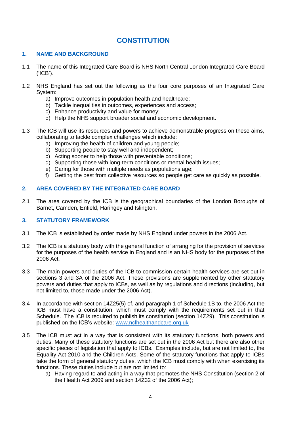# **CONSTITUTION**

## **1. NAME AND BACKGROUND**

- 1.1 The name of this Integrated Care Board is NHS North Central London Integrated Care Board ('ICB').
- 1.2 NHS England has set out the following as the four core purposes of an Integrated Care System:
	- a) Improve outcomes in population health and healthcare;
	- b) Tackle inequalities in outcomes, experiences and access;
	- c) Enhance productivity and value for money;
	- d) Help the NHS support broader social and economic development.
- 1.3 The ICB will use its resources and powers to achieve demonstrable progress on these aims, collaborating to tackle complex challenges which include:
	- a) Improving the health of children and young people;
	- b) Supporting people to stay well and independent;
	- c) Acting sooner to help those with preventable conditions;
	- d) Supporting those with long-term conditions or mental health issues;
	- e) Caring for those with multiple needs as populations age;
	- f) Getting the best from collective resources so people get care as quickly as possible.

## **2. AREA COVERED BY THE INTEGRATED CARE BOARD**

2.1 The area covered by the ICB is the geographical boundaries of the London Boroughs of Barnet, Camden, Enfield, Haringey and Islington.

## **3. STATUTORY FRAMEWORK**

- 3.1 The ICB is established by order made by NHS England under powers in the 2006 Act.
- 3.2 The ICB is a statutory body with the general function of arranging for the provision of services for the purposes of the health service in England and is an NHS body for the purposes of the 2006 Act.
- 3.3 The main powers and duties of the ICB to commission certain health services are set out in sections 3 and 3A of the 2006 Act. These provisions are supplemented by other statutory powers and duties that apply to ICBs, as well as by regulations and directions (including, but not limited to, those made under the 2006 Act).
- 3.4 In accordance with section 14Z25(5) of, and paragraph 1 of Schedule 1B to, the 2006 Act the ICB must have a constitution, which must comply with the requirements set out in that Schedule. The ICB is required to publish its constitution (section 14Z29). This constitution is published on the ICB's website: [www.nclhealthandcare.org.uk](http://www.nclhealthandcare.org.uk/)
- 3.5 The ICB must act in a way that is consistent with its statutory functions, both powers and duties. Many of these statutory functions are set out in the 2006 Act but there are also other specific pieces of legislation that apply to ICBs. Examples include, but are not limited to, the Equality Act 2010 and the Children Acts. Some of the statutory functions that apply to ICBs take the form of general statutory duties, which the ICB must comply with when exercising its functions. These duties include but are not limited to:
	- a) Having regard to and acting in a way that promotes the NHS Constitution (section 2 of the Health Act 2009 and section 14Z32 of the 2006 Act);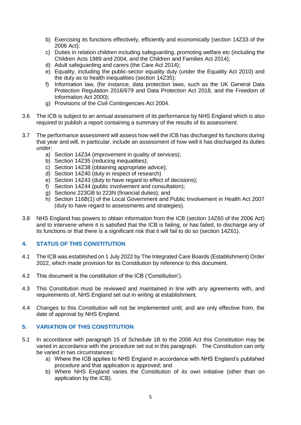- b) Exercising its functions effectively, efficiently and economically (section 14Z33 of the 2006 Act);
- c) Duties in relation children including safeguarding, promoting welfare etc (including the Children Acts 1989 and 2004, and the Children and Families Act 2014);
- d) Adult safeguarding and carers (the Care Act 2014);
- e) Equality, including the public-sector equality duty (under the Equality Act 2010) and the duty as to health inequalities (section 14Z35);
- f) Information law, (for instance, data protection laws, such as the UK General Data Protection Regulation 2016/679 and Data Protection Act 2018, and the Freedom of Information Act 2000);
- g) Provisions of the Civil Contingencies Act 2004.
- 3.6 The ICB is subject to an annual assessment of its performance by NHS England which is also required to publish a report containing a summary of the results of its assessment.
- 3.7 The performance assessment will assess how well the ICB has discharged its functions during that year and will, in particular, include an assessment of how well it has discharged its duties under:
	- a) Section 14Z34 (improvement in quality of services);
	- b) Section 14Z35 (reducing inequalities):
	- c) Section 14Z38 (obtaining appropriate advice);
	- d) Section 14Z40 (duty in respect of research)
	- e) Section 14Z43 (duty to have regard to effect of decisions);
	- f) Section 14Z44 (public involvement and consultation);
	- g) Sections 223GB to 223N (financial duties); and
	- h) Section 116B(1) of the Local Government and Public Involvement in Health Act 2007 (duty to have regard to assessments and strategies).
- 3.8 NHS England has powers to obtain information from the ICB (section 14Z60 of the 2006 Act) and to intervene where it is satisfied that the ICB is failing, or has failed, to discharge any of its functions or that there is a significant risk that it will fail to do so (section 14Z61).

## **4. STATUS OF THIS CONSTITUTION**

- 4.1 The ICB was established on 1 July 2022 by The Integrated Care Boards (Establishment) Order 2022, which made provision for its Constitution by reference to this document.
- 4.2 This document is the constitution of the ICB ('Constitution').
- 4.3 This Constitution must be reviewed and maintained in line with any agreements with, and requirements of, NHS England set out in writing at establishment.
- 4.4 Changes to this Constitution will not be implemented until, and are only effective from, the date of approval by NHS England.

## **5. VARIATION OF THIS CONSTITUTION**

- 5.1 In accordance with paragraph 15 of Schedule 1B to the 2006 Act this Constitution may be varied in accordance with the procedure set out in this paragraph. The Constitution can only be varied in two circumstances:
	- a) Where the ICB applies to NHS England in accordance with NHS England's published procedure and that application is approved; and
	- b) Where NHS England varies the Constitution of its own initiative (other than on application by the ICB).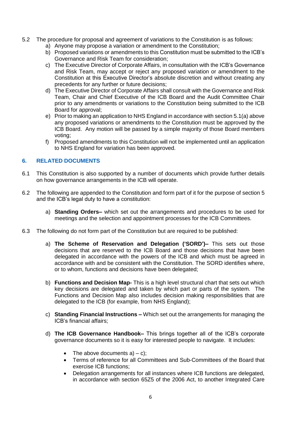- 5.2 The procedure for proposal and agreement of variations to the Constitution is as follows:
	- a) Anyone may propose a variation or amendment to the Constitution;
	- b) Proposed variations or amendments to this Constitution must be submitted to the ICB's Governance and Risk Team for consideration;
	- c) The Executive Director of Corporate Affairs, in consultation with the ICB's Governance and Risk Team, may accept or reject any proposed variation or amendment to the Constitution at this Executive Director's absolute discretion and without creating any precedents for any further or future decisions;
	- d) The Executive Director of Corporate Affairs shall consult with the Governance and Risk Team, Chair and Chief Executive of the ICB Board and the Audit Committee Chair prior to any amendments or variations to the Constitution being submitted to the ICB Board for approval;
	- e) Prior to making an application to NHS England in accordance with section 5.1(a) above any proposed variations or amendments to the Constitution must be approved by the ICB Board. Any motion will be passed by a simple majority of those Board members voting;
	- f) Proposed amendments to this Constitution will not be implemented until an application to NHS England for variation has been approved.

## **6. RELATED DOCUMENTS**

- 6.1 This Constitution is also supported by a number of documents which provide further details on how governance arrangements in the ICB will operate.
- 6.2 The following are appended to the Constitution and form part of it for the purpose of section 5 and the ICB's legal duty to have a constitution:
	- a) **Standing Orders–** which set out the arrangements and procedures to be used for meetings and the selection and appointment processes for the ICB Committees.
- 6.3 The following do not form part of the Constitution but are required to be published:
	- a) **The Scheme of Reservation and Delegation ('SORD')–** This sets out those decisions that are reserved to the ICB Board and those decisions that have been delegated in accordance with the powers of the ICB and which must be agreed in accordance with and be consistent with the Constitution. The SORD identifies where, or to whom, functions and decisions have been delegated;
	- b) **Functions and Decision Map-** This is a high level structural chart that sets out which key decisions are delegated and taken by which part or parts of the system. The Functions and Decision Map also includes decision making responsibilities that are delegated to the ICB (for example, from NHS England);
	- c) **Standing Financial Instructions –** Which set out the arrangements for managing the ICB's financial affairs;
	- d) **The ICB Governance Handbook–** This brings together all of the ICB's corporate governance documents so it is easy for interested people to navigate. It includes:
		- The above documents  $a$ ) c);
		- Terms of reference for all Committees and Sub-Committees of the Board that exercise ICB functions;
		- Delegation arrangements for all instances where ICB functions are delegated, in accordance with section 65Z5 of the 2006 Act, to another Integrated Care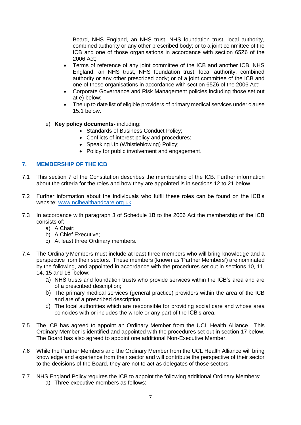Board, NHS England, an NHS trust, NHS foundation trust, local authority, combined authority or any other prescribed body; or to a joint committee of the ICB and one of those organisations in accordance with section 65Z6 of the 2006 Act;

- Terms of reference of any joint committee of the ICB and another ICB, NHS England, an NHS trust, NHS foundation trust, local authority, combined authority or any other prescribed body; or of a joint committee of the ICB and one of those organisations in accordance with section 65Z6 of the 2006 Act;
- Corporate Governance and Risk Management policies including those set out at e) below;
- The up to date list of eligible providers of primary medical services under clause 15.1 below.
- e) **Key policy documents-** including:
	- Standards of Business Conduct Policy;
	- Conflicts of interest policy and procedures;
	- Speaking Up (Whistleblowing) Policy;
	- Policy for public involvement and engagement.

## **7. MEMBERSHIP OF THE ICB**

- 7.1 This section 7 of the Constitution describes the membership of the ICB. Further information about the criteria for the roles and how they are appointed is in sections 12 to 21 below.
- 7.2 Further information about the individuals who fulfil these roles can be found on the ICB's website: [www.nclhealthandcare.org.uk](http://www.nclhealthandcare.org.uk/)
- 7.3 In accordance with paragraph 3 of Schedule 1B to the 2006 Act the membership of the ICB consists of:
	- a) A Chair;
	- b) A Chief Executive;
	- c) At least three Ordinary members.
- 7.4 The Ordinary Members must include at least three members who will bring knowledge and a perspective from their sectors. These members (known as 'Partner Members') are nominated by the following, and appointed in accordance with the procedures set out in sections 10, 11, 14, 15 and 16 below:
	- a) NHS trusts and foundation trusts who provide services within the ICB's area and are of a prescribed description;
	- b) The primary medical services (general practice) providers within the area of the ICB and are of a prescribed description;
	- c) The local authorities which are responsible for providing social care and whose area coincides with or includes the whole or any part of the ICB's area.
- 7.5 The ICB has agreed to appoint an Ordinary Member from the UCL Health Alliance. This Ordinary Member is identified and appointed with the procedures set out in section 17 below. The Board has also agreed to appoint one additional Non-Executive Member.
- 7.6 While the Partner Members and the Ordinary Member from the UCL Health Alliance will bring knowledge and experience from their sector and will contribute the perspective of their sector to the decisions of the Board, they are not to act as delegates of those sectors.
- 7.7 NHS England Policy requires the ICB to appoint the following additional Ordinary Members: a) Three executive members as follows: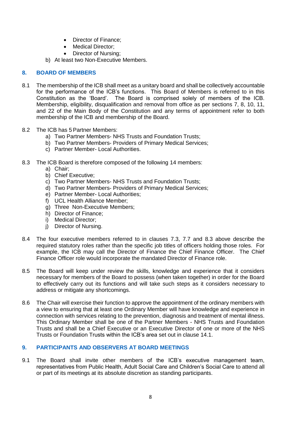- Director of Finance;
- Medical Director:
- Director of Nursing;
- b) At least two Non-Executive Members.

## **8. BOARD OF MEMBERS**

- 8.1 The membership of the ICB shall meet as a unitary board and shall be collectively accountable for the performance of the ICB's functions. This Board of Members is referred to in this Constitution as the 'Board'. The Board is comprised solely of members of the ICB. Membership, eligibility, disqualification and removal from office as per sections 7, 8, 10, 11, and 22 of the Main Body of the Constitution and any terms of appointment refer to both membership of the ICB and membership of the Board.
- 8.2 The ICB has 5 Partner Members:
	- a) Two Partner Members- NHS Trusts and Foundation Trusts;
	- b) Two Partner Members- Providers of Primary Medical Services;
	- c) Partner Member- Local Authorities.
- 8.3 The ICB Board is therefore composed of the following 14 members:
	- a) Chair;
	- b) Chief Executive;
	- c) Two Partner Members- NHS Trusts and Foundation Trusts;
	- d) Two Partner Members- Providers of Primary Medical Services;
	- e) Partner Member- Local Authorities;
	- f) UCL Health Alliance Member;
	- g) Three Non-Executive Members;
	- h) Director of Finance;
	- i) Medical Director;
	- j) Director of Nursing.
- 8.4 The four executive members referred to in clauses 7.3, 7.7 and 8.3 above describe the required statutory roles rather than the specific job titles of officers holding those roles. For example, the ICB may call the Director of Finance the Chief Finance Officer. The Chief Finance Officer role would incorporate the mandated Director of Finance role.
- 8.5 The Board will keep under review the skills, knowledge and experience that it considers necessary for members of the Board to possess (when taken together) in order for the Board to effectively carry out its functions and will take such steps as it considers necessary to address or mitigate any shortcomings.
- 8.6 The Chair will exercise their function to approve the appointment of the ordinary members with a view to ensuring that at least one Ordinary Member will have knowledge and experience in connection with services relating to the prevention, diagnosis and treatment of mental illness. This Ordinary Member shall be one of the Partner Members - NHS Trusts and Foundation Trusts and shall be a Chief Executive or an Executive Director of one or more of the NHS Trusts or Foundation Trusts within the ICB's area set out in clause 14.1.

## **9. PARTICIPANTS AND OBSERVERS AT BOARD MEETINGS**

9.1 The Board shall invite other members of the ICB's executive management team, representatives from Public Health, Adult Social Care and Children's Social Care to attend all or part of its meetings at its absolute discretion as standing participants.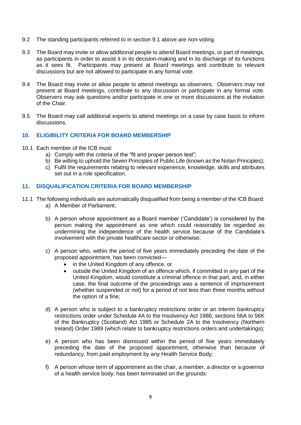- 9.2 The standing participants referred to in section 9.1 above are non-voting.
- 9.3 The Board may invite or allow additional people to attend Board meetings, or part of meetings, as participants in order to assist it in its decision-making and in its discharge of its functions as it sees fit. Participants may present at Board meetings and contribute to relevant discussions but are not allowed to participate in any formal vote.
- 9.4 The Board may invite or allow people to attend meetings as observers. Observers may not present at Board meetings, contribute to any discussion or participate in any formal vote. Observers may ask questions and/or participate in one or more discussions at the invitation of the Chair.
- 9.5 The Board may call additional experts to attend meetings on a case by case basis to inform discussions.

## **10. ELIGIBILITY CRITERIA FOR BOARD MEMBERSHIP**

- 10.1 Each member of the ICB must:
	- a) Comply with the criteria of the "fit and proper person test";
	- b) Be willing to uphold the Seven Principles of Public Life (known as the Nolan Principles);
	- c) Fulfil the requirements relating to relevant experience, knowledge, skills and attributes set out in a role specification.

## **11. DISQUALIFICATION CRITERIA FOR BOARD MEMBERSHIP**

- 11.1 The following individuals are automatically disqualified from being a member of the ICB Board: a) A Member of Parliament;
	- b) A person whose appointment as a Board member ('Candidate') is considered by the person making the appointment as one which could reasonably be regarded as undermining the independence of the health service because of the Candidate's involvement with the private healthcare sector or otherwise;
	- c) A person who, within the period of five years immediately preceding the date of the proposed appointment, has been convicted
		- in the United Kingdom of any offence, or
		- outside the United Kingdom of an offence which, if committed in any part of the United Kingdom, would constitute a criminal offence in that part, and, in either case, the final outcome of the proceedings was a sentence of imprisonment (whether suspended or not) for a period of not less than three months without the option of a fine;
	- d) A person who is subject to a bankruptcy restrictions order or an interim bankruptcy restrictions order under Schedule 4A to the Insolvency Act 1986, sections 56A to 56K of the Bankruptcy (Scotland) Act 1985 or Schedule 2A to the Insolvency (Northern Ireland) Order 1989 (which relate to bankruptcy restrictions orders and undertakings);
	- e) A person who has been dismissed within the period of five years immediately preceding the date of the proposed appointment, otherwise than because of redundancy, from paid employment by any Health Service Body;
	- f) A person whose term of appointment as the chair, a member, a director or a governor of a health service body, has been terminated on the grounds: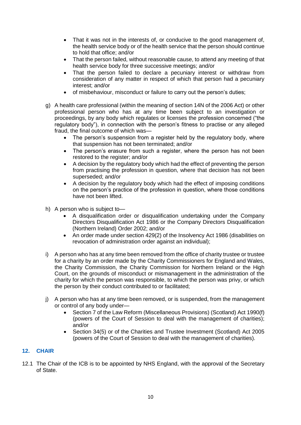- That it was not in the interests of, or conducive to the good management of, the health service body or of the health service that the person should continue to hold that office; and/or
- That the person failed, without reasonable cause, to attend any meeting of that health service body for three successive meetings; and/or
- That the person failed to declare a pecuniary interest or withdraw from consideration of any matter in respect of which that person had a pecuniary interest; and/or
- of misbehaviour, misconduct or failure to carry out the person's duties;
- g) A health care professional (within the meaning of section 14N of the 2006 Act) or other professional person who has at any time been subject to an investigation or proceedings, by any body which regulates or licenses the profession concerned ("the regulatory body"), in connection with the person's fitness to practise or any alleged fraud, the final outcome of which was—
	- The person's suspension from a register held by the regulatory body, where that suspension has not been terminated; and/or
	- The person's erasure from such a register, where the person has not been restored to the register; and/or
	- A decision by the regulatory body which had the effect of preventing the person from practising the profession in question, where that decision has not been superseded; and/or
	- A decision by the regulatory body which had the effect of imposing conditions on the person's practice of the profession in question, where those conditions have not been lifted.
- h) A person who is subject to—
	- A disqualification order or disqualification undertaking under the Company Directors Disqualification Act 1986 or the Company Directors Disqualification (Northern Ireland) Order 2002; and/or
	- An order made under section 429(2) of the Insolvency Act 1986 (disabilities on revocation of administration order against an individual);
- i) A person who has at any time been removed from the office of charity trustee or trustee for a charity by an order made by the Charity Commissioners for England and Wales, the Charity Commission, the Charity Commission for Northern Ireland or the High Court, on the grounds of misconduct or mismanagement in the administration of the charity for which the person was responsible, to which the person was privy, or which the person by their conduct contributed to or facilitated;
- j) A person who has at any time been removed, or is suspended, from the management or control of any body under—
	- Section 7 of the Law Reform (Miscellaneous Provisions) (Scotland) Act 1990(f) (powers of the Court of Session to deal with the management of charities); and/or
	- Section 34(5) or of the Charities and Trustee Investment (Scotland) Act 2005 (powers of the Court of Session to deal with the management of charities).

## **12. CHAIR**

12.1 The Chair of the ICB is to be appointed by NHS England, with the approval of the Secretary of State.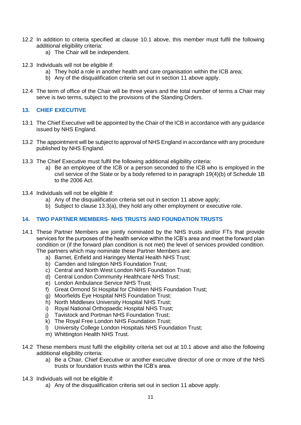- 12.2 In addition to criteria specified at clause 10.1 above, this member must fulfil the following additional eligibility criteria:
	- a) The Chair will be independent.
- 12.3 Individuals will not be eligible if:
	- a) They hold a role in another health and care organisation within the ICB area;
	- b) Any of the disqualification criteria set out in section 11 above apply.
- 12.4 The term of office of the Chair will be three years and the total number of terms a Chair may serve is two terms, subject to the provisions of the Standing Orders.

## **13. CHIEF EXECUTIVE**

- 13.1 The Chief Executive will be appointed by the Chair of the ICB in accordance with any guidance issued by NHS England.
- 13.2 The appointment will be subject to approval of NHS England in accordance with any procedure published by NHS England.
- 13.3 The Chief Executive must fulfil the following additional eligibility criteria:
	- a) Be an employee of the ICB or a person seconded to the ICB who is employed in the civil service of the State or by a body referred to in paragraph 19(4)(b) of Schedule 1B to the 2006 Act.
- 13.4 Individuals will not be eligible if:
	- a) Any of the disqualification criteria set out in section 11 above apply;
	- b) Subject to clause 13.3(a), they hold any other employment or executive role.

## **14. TWO PARTNER MEMBERS- NHS TRUSTS AND FOUNDATION TRUSTS**

- 14.1 These Partner Members are jointly nominated by the NHS trusts and/or FTs that provide services for the purposes of the health service within the ICB's area and meet the forward plan condition or (if the forward plan condition is not met) the level of services provided condition. The partners which may nominate these Partner Members are:
	- a) Barnet, Enfield and Haringey Mental Health NHS Trust;
	- b) Camden and Islington NHS Foundation Trust;
	- c) Central and North West London NHS Foundation Trust;
	- d) Central London Community Healthcare NHS Trust;
	- e) London Ambulance Service NHS Trust;
	- f) Great Ormond St Hospital for Children NHS Foundation Trust;
	- g) Moorfields Eye Hospital NHS Foundation Trust;
	- h) North Middlesex University Hospital NHS Trust;
	- i) Royal National Orthopaedic Hospital NHS Trust;
	- j) Tavistock and Portman NHS Foundation Trust;
	- k) The Royal Free London NHS Foundation Trust;
	- l) University College London Hospitals NHS Foundation Trust;
	- m) Whittington Health NHS Trust.
- 14.2 These members must fulfil the eligibility criteria set out at 10.1 above and also the following additional eligibility criteria:
	- a) Be a Chair, Chief Executive or another executive director of one or more of the NHS trusts or foundation trusts within the ICB's area.
- 14.3 Individuals will not be eligible if:
	- a) Any of the disqualification criteria set out in section 11 above apply.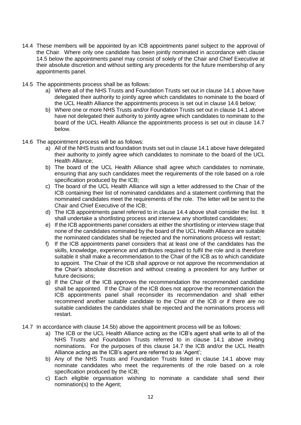- 14.4 These members will be appointed by an ICB appointments panel subject to the approval of the Chair. Where only one candidate has been jointly nominated in accordance with clause 14.5 below the appointments panel may consist of solely of the Chair and Chief Executive at their absolute discretion and without setting any precedents for the future membership of any appointments panel.
- 14.5 The appointments process shall be as follows:
	- a) Where all of the NHS Trusts and Foundation Trusts set out in clause 14.1 above have delegated their authority to jointly agree which candidates to nominate to the board of the UCL Health Alliance the appointments process is set out in clause 14.6 below;
	- b) Where one or more NHS Trusts and/or Foundation Trusts set out in clause 14.1 above have not delegated their authority to jointly agree which candidates to nominate to the board of the UCL Health Alliance the appointments process is set out in clause 14.7 below.
- 14.6 The appointment process will be as follows:
	- a) All of the NHS trusts and foundation trusts set out in clause 14.1 above have delegated their authority to jointly agree which candidates to nominate to the board of the UCL Health Alliance;
	- b) The board of the UCL Health Alliance shall agree which candidates to nominate, ensuring that any such candidates meet the requirements of the role based on a role specification produced by the ICB;
	- c) The board of the UCL Health Alliance will sign a letter addressed to the Chair of the ICB containing their list of nominated candidates and a statement confirming that the nominated candidates meet the requirements of the role. The letter will be sent to the Chair and Chief Executive of the ICB;
	- d) The ICB appointments panel referred to in clause 14.4 above shall consider the list. It shall undertake a shortlisting process and interview any shortlisted candidates;
	- e) If the ICB appointments panel considers at either the shortlisting or interview stage that none of the candidates nominated by the board of the UCL Health Alliance are suitable the nominated candidates shall be rejected and the nominations process will restart;
	- f) If the ICB appointments panel considers that at least one of the candidates has the skills, knowledge, experience and attributes required to fulfil the role and is therefore suitable it shall make a recommendation to the Chair of the ICB as to which candidate to appoint. The Chair of the ICB shall approve or not approve the recommendation at the Chair's absolute discretion and without creating a precedent for any further or future decisions;
	- g) If the Chair of the ICB approves the recommendation the recommended candidate shall be appointed. If the Chair of the ICB does not approve the recommendation the ICB appointments panel shall reconsider its recommendation and shall either recommend another suitable candidate to the Chair of the ICB or if there are no suitable candidates the candidates shall be rejected and the nominations process will restart.
- 14.7 In accordance with clause 14.5b) above the appointment process will be as follows:
	- a) The ICB or the UCL Health Alliance acting as the ICB's agent shall write to all of the NHS Trusts and Foundation Trusts referred to in clause 14.1 above inviting nominations. For the purposes of this clause 14.7 the ICB and/or the UCL Health Alliance acting as the ICB's agent are referred to as 'Agent':
	- b) Any of the NHS Trusts and Foundation Trusts listed in clause 14.1 above may nominate candidates who meet the requirements of the role based on a role specification produced by the ICB;
	- c) Each eligible organisation wishing to nominate a candidate shall send their nomination(s) to the Agent;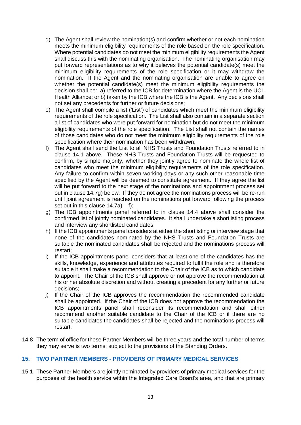- d) The Agent shall review the nomination(s) and confirm whether or not each nomination meets the minimum eligibility requirements of the role based on the role specification. Where potential candidates do not meet the minimum eligibility requirements the Agent shall discuss this with the nominating organisation. The nominating organisation may put forward representations as to why it believes the potential candidate(s) meet the minimum eligibility requirements of the role specification or it may withdraw the nomination. If the Agent and the nominating organisation are unable to agree on whether the potential candidate(s) meet the minimum eligibility requirements the decision shall be: a) referred to the ICB for determination where the Agent is the UCL Health Alliance; or b) taken by the ICB where the ICB is the Agent. Any decisions shall not set any precedents for further or future decisions;
- e) The Agent shall compile a list ('List') of candidates which meet the minimum eligibility requirements of the role specification. The List shall also contain in a separate section a list of candidates who were put forward for nomination but do not meet the minimum eligibility requirements of the role specification. The List shall not contain the names of those candidates who do not meet the minimum eligibility requirements of the role specification where their nomination has been withdrawn;
- f) The Agent shall send the List to all NHS Trusts and Foundation Trusts referred to in clause 14.1 above. These NHS Trusts and Foundation Trusts will be requested to confirm, by simple majority, whether they jointly agree to nominate the whole list of candidates who meet the minimum eligibility requirements of the role specification. Any failure to confirm within seven working days or any such other reasonable time specified by the Agent will be deemed to constitute agreement. If they agree the list will be put forward to the next stage of the nominations and appointment process set out in clause 14.7g) below. If they do not agree the nominations process will be re-run until joint agreement is reached on the nominations put forward following the process set out in this clause  $14.7a$ ) – f);
- g) The ICB appointments panel referred to in clause 14.4 above shall consider the confirmed list of jointly nominated candidates. It shall undertake a shortlisting process and interview any shortlisted candidates;
- h) If the ICB appointments panel considers at either the shortlisting or interview stage that none of the candidates nominated by the NHS Trusts and Foundation Trusts are suitable the nominated candidates shall be rejected and the nominations process will restart;
- i) If the ICB appointments panel considers that at least one of the candidates has the skills, knowledge, experience and attributes required to fulfil the role and is therefore suitable it shall make a recommendation to the Chair of the ICB as to which candidate to appoint. The Chair of the ICB shall approve or not approve the recommendation at his or her absolute discretion and without creating a precedent for any further or future decisions;
- j) If the Chair of the ICB approves the recommendation the recommended candidate shall be appointed. If the Chair of the ICB does not approve the recommendation the ICB appointments panel shall reconsider its recommendation and shall either recommend another suitable candidate to the Chair of the ICB or if there are no suitable candidates the candidates shall be rejected and the nominations process will restart.
- 14.8 The term of office for these Partner Members will be three years and the total number of terms they may serve is two terms, subject to the provisions of the Standing Orders.

## **15. TWO PARTNER MEMBERS - PROVIDERS OF PRIMARY MEDICAL SERVICES**

15.1 These Partner Members are jointly nominated by providers of primary medical services for the purposes of the health service within the Integrated Care Board's area, and that are primary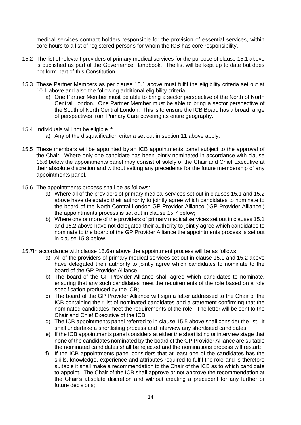medical services contract holders responsible for the provision of essential services, within core hours to a list of registered persons for whom the ICB has core responsibility.

- 15.2 The list of relevant providers of primary medical services for the purpose of clause 15.1 above is published as part of the Governance Handbook. The list will be kept up to date but does not form part of this Constitution.
- 15.3 These Partner Members as per clause 15.1 above must fulfil the eligibility criteria set out at 10.1 above and also the following additional eligibility criteria:
	- a) One Partner Member must be able to bring a sector perspective of the North of North Central London. One Partner Member must be able to bring a sector perspective of the South of North Central London. This is to ensure the ICB Board has a broad range of perspectives from Primary Care covering its entire geography.
- 15.4 Individuals will not be eligible if:
	- a) Any of the disqualification criteria set out in section 11 above apply.
- 15.5 These members will be appointed by an ICB appointments panel subject to the approval of the Chair. Where only one candidate has been jointly nominated in accordance with clause 15.6 below the appointments panel may consist of solely of the Chair and Chief Executive at their absolute discretion and without setting any precedents for the future membership of any appointments panel.
- 15.6 The appointments process shall be as follows:
	- a) Where all of the providers of primary medical services set out in clauses 15.1 and 15.2 above have delegated their authority to jointly agree which candidates to nominate to the board of the North Central London GP Provider Alliance ('GP Provider Alliance') the appointments process is set out in clause 15.7 below;
	- b) Where one or more of the providers of primary medical services set out in clauses 15.1 and 15.2 above have not delegated their authority to jointly agree which candidates to nominate to the board of the GP Provider Alliance the appointments process is set out in clause 15.8 below.
- 15.7In accordance with clause 15.6a) above the appointment process will be as follows:
	- a) All of the providers of primary medical services set out in clause 15.1 and 15.2 above have delegated their authority to jointly agree which candidates to nominate to the board of the GP Provider Alliance;
	- b) The board of the GP Provider Alliance shall agree which candidates to nominate, ensuring that any such candidates meet the requirements of the role based on a role specification produced by the ICB;
	- c) The board of the GP Provider Alliance will sign a letter addressed to the Chair of the ICB containing their list of nominated candidates and a statement confirming that the nominated candidates meet the requirements of the role. The letter will be sent to the Chair and Chief Executive of the ICB;
	- d) The ICB appointments panel referred to in clause 15.5 above shall consider the list. It shall undertake a shortlisting process and interview any shortlisted candidates;
	- e) If the ICB appointments panel considers at either the shortlisting or interview stage that none of the candidates nominated by the board of the GP Provider Alliance are suitable the nominated candidates shall be rejected and the nominations process will restart;
	- f) If the ICB appointments panel considers that at least one of the candidates has the skills, knowledge, experience and attributes required to fulfil the role and is therefore suitable it shall make a recommendation to the Chair of the ICB as to which candidate to appoint. The Chair of the ICB shall approve or not approve the recommendation at the Chair's absolute discretion and without creating a precedent for any further or future decisions;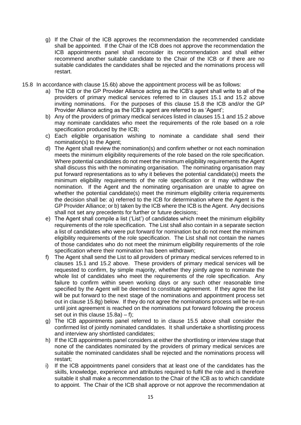- g) If the Chair of the ICB approves the recommendation the recommended candidate shall be appointed. If the Chair of the ICB does not approve the recommendation the ICB appointments panel shall reconsider its recommendation and shall either recommend another suitable candidate to the Chair of the ICB or if there are no suitable candidates the candidates shall be rejected and the nominations process will restart.
- 15.8 In accordance with clause 15.6b) above the appointment process will be as follows:
	- a) The ICB or the GP Provider Alliance acting as the ICB's agent shall write to all of the providers of primary medical services referred to in clauses 15.1 and 15.2 above inviting nominations. For the purposes of this clause 15.8 the ICB and/or the GP Provider Alliance acting as the ICB's agent are referred to as 'Agent':
	- b) Any of the providers of primary medical services listed in clauses 15.1 and 15.2 above may nominate candidates who meet the requirements of the role based on a role specification produced by the ICB;
	- c) Each eligible organisation wishing to nominate a candidate shall send their nomination(s) to the Agent;
	- d) The Agent shall review the nomination(s) and confirm whether or not each nomination meets the minimum eligibility requirements of the role based on the role specification. Where potential candidates do not meet the minimum eligibility requirements the Agent shall discuss this with the nominating organisation. The nominating organisation may put forward representations as to why it believes the potential candidate(s) meets the minimum eligibility requirements of the role specification or it may withdraw the nomination. If the Agent and the nominating organisation are unable to agree on whether the potential candidate(s) meet the minimum eligibility criteria requirements the decision shall be: a) referred to the ICB for determination where the Agent is the GP Provider Alliance; or b) taken by the ICB where the ICB is the Agent. Any decisions shall not set any precedents for further or future decisions;
	- e) The Agent shall compile a list ('List') of candidates which meet the minimum eligibility requirements of the role specification. The List shall also contain in a separate section a list of candidates who were put forward for nomination but do not meet the minimum eligibility requirements of the role specification. The List shall not contain the names of those candidates who do not meet the minimum eligibility requirements of the role specification where their nomination has been withdrawn;
	- f) The Agent shall send the List to all providers of primary medical services referred to in clauses 15.1 and 15.2 above. These providers of primary medical services will be requested to confirm, by simple majority, whether they jointly agree to nominate the whole list of candidates who meet the requirements of the role specification. Any failure to confirm within seven working days or any such other reasonable time specified by the Agent will be deemed to constitute agreement. If they agree the list will be put forward to the next stage of the nominations and appointment process set out in clause 15.8g) below. If they do not agree the nominations process will be re-run until joint agreement is reached on the nominations put forward following the process set out in this clause 15.8a) – f);
	- g) The ICB appointments panel referred to in clause 15.5 above shall consider the confirmed list of jointly nominated candidates. It shall undertake a shortlisting process and interview any shortlisted candidates;
	- h) If the ICB appointments panel considers at either the shortlisting or interview stage that none of the candidates nominated by the providers of primary medical services are suitable the nominated candidates shall be rejected and the nominations process will restart;
	- i) If the ICB appointments panel considers that at least one of the candidates has the skills, knowledge, experience and attributes required to fulfil the role and is therefore suitable it shall make a recommendation to the Chair of the ICB as to which candidate to appoint. The Chair of the ICB shall approve or not approve the recommendation at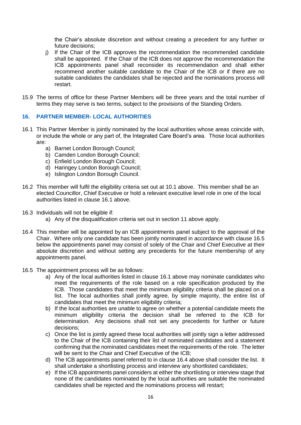the Chair's absolute discretion and without creating a precedent for any further or future decisions;

- j) If the Chair of the ICB approves the recommendation the recommended candidate shall be appointed. If the Chair of the ICB does not approve the recommendation the ICB appointments panel shall reconsider its recommendation and shall either recommend another suitable candidate to the Chair of the ICB or if there are no suitable candidates the candidates shall be rejected and the nominations process will restart.
- 15.9 The terms of office for these Partner Members will be three years and the total number of terms they may serve is two terms, subject to the provisions of the Standing Orders.

#### **16. PARTNER MEMBER- LOCAL AUTHORITIES**

- 16.1 This Partner Member is jointly nominated by the local authorities whose areas coincide with, or include the whole or any part of, the Integrated Care Board's area. Those local authorities are:
	- a) Barnet London Borough Council;
	- b) Camden London Borough Council;
	- c) Enfield London Borough Council;
	- d) Haringey London Borough Council;
	- e) Islington London Borough Council.
- 16.2 This member will fulfil the eligibility criteria set out at 10.1 above. This member shall be an elected Councillor, Chief Executive or hold a relevant executive level role in one of the local authorities listed in clause 16.1 above.
- 16.3 Individuals will not be eligible if:
	- a) Any of the disqualification criteria set out in section 11 above apply.
- 16.4 This member will be appointed by an ICB appointments panel subject to the approval of the Chair. Where only one candidate has been jointly nominated in accordance with clause 16.5 below the appointments panel may consist of solely of the Chair and Chief Executive at their absolute discretion and without setting any precedents for the future membership of any appointments panel.
- 16.5 The appointment process will be as follows:
	- a) Any of the local authorities listed in clause 16.1 above may nominate candidates who meet the requirements of the role based on a role specification produced by the ICB. Those candidates that meet the minimum eligibility criteria shall be placed on a list. The local authorities shall jointly agree, by simple majority, the entire list of candidates that meet the minimum eligibility criteria;
	- b) If the local authorities are unable to agree on whether a potential candidate meets the minimum eligibility criteria the decision shall be referred to the ICB for determination. Any decisions shall not set any precedents for further or future decisions;
	- c) Once the list is jointly agreed these local authorities will jointly sign a letter addressed to the Chair of the ICB containing their list of nominated candidates and a statement confirming that the nominated candidates meet the requirements of the role. The letter will be sent to the Chair and Chief Executive of the ICB:
	- d) The ICB appointments panel referred to in clause 16.4 above shall consider the list. It shall undertake a shortlisting process and interview any shortlisted candidates;
	- e) If the ICB appointments panel considers at either the shortlisting or interview stage that none of the candidates nominated by the local authorities are suitable the nominated candidates shall be rejected and the nominations process will restart;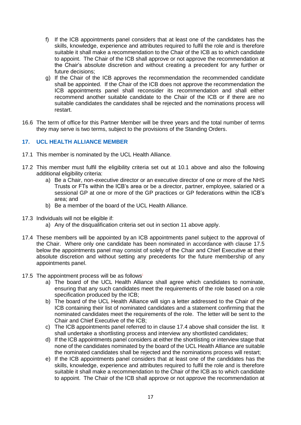- f) If the ICB appointments panel considers that at least one of the candidates has the skills, knowledge, experience and attributes required to fulfil the role and is therefore suitable it shall make a recommendation to the Chair of the ICB as to which candidate to appoint. The Chair of the ICB shall approve or not approve the recommendation at the Chair's absolute discretion and without creating a precedent for any further or future decisions;
- g) If the Chair of the ICB approves the recommendation the recommended candidate shall be appointed. If the Chair of the ICB does not approve the recommendation the ICB appointments panel shall reconsider its recommendation and shall either recommend another suitable candidate to the Chair of the ICB or if there are no suitable candidates the candidates shall be rejected and the nominations process will restart.
- 16.6 The term of office for this Partner Member will be three years and the total number of terms they may serve is two terms, subject to the provisions of the Standing Orders.

## **17. UCL HEALTH ALLIANCE MEMBER**

- 17.1 This member is nominated by the UCL Health Alliance.
- 17.2 This member must fulfil the eligibility criteria set out at 10.1 above and also the following additional eligibility criteria:
	- a) Be a Chair, non-executive director or an executive director of one or more of the NHS Trusts or FTs within the ICB's area or be a director, partner, employee, salaried or a sessional GP at one or more of the GP practices or GP federations within the ICB's area; and
	- b) Be a member of the board of the UCL Health Alliance.
- 17.3 Individuals will not be eligible if:
	- a) Any of the disqualification criteria set out in section 11 above apply.
- 17.4 These members will be appointed by an ICB appointments panel subject to the approval of the Chair. Where only one candidate has been nominated in accordance with clause 17.5 below the appointments panel may consist of solely of the Chair and Chief Executive at their absolute discretion and without setting any precedents for the future membership of any appointments panel.
- 17.5 The appointment process will be as follows**:**
	- a) The board of the UCL Health Alliance shall agree which candidates to nominate, ensuring that any such candidates meet the requirements of the role based on a role specification produced by the ICB;
	- b) The board of the UCL Health Alliance will sign a letter addressed to the Chair of the ICB containing their list of nominated candidates and a statement confirming that the nominated candidates meet the requirements of the role. The letter will be sent to the Chair and Chief Executive of the ICB;
	- c) The ICB appointments panel referred to in clause 17.4 above shall consider the list. It shall undertake a shortlisting process and interview any shortlisted candidates;
	- d) If the ICB appointments panel considers at either the shortlisting or interview stage that none of the candidates nominated by the board of the UCL Health Alliance are suitable the nominated candidates shall be rejected and the nominations process will restart;
	- e) If the ICB appointments panel considers that at least one of the candidates has the skills, knowledge, experience and attributes required to fulfil the role and is therefore suitable it shall make a recommendation to the Chair of the ICB as to which candidate to appoint. The Chair of the ICB shall approve or not approve the recommendation at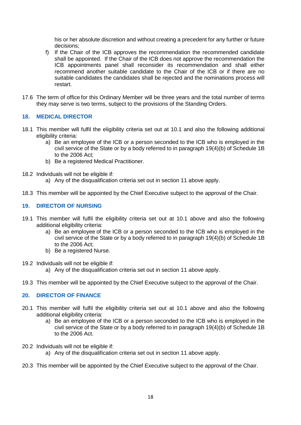his or her absolute discretion and without creating a precedent for any further or future decisions;

- f) If the Chair of the ICB approves the recommendation the recommended candidate shall be appointed. If the Chair of the ICB does not approve the recommendation the ICB appointments panel shall reconsider its recommendation and shall either recommend another suitable candidate to the Chair of the ICB or if there are no suitable candidates the candidates shall be rejected and the nominations process will restart.
- 17.6 The term of office for this Ordinary Member will be three years and the total number of terms they may serve is two terms, subject to the provisions of the Standing Orders.

## **18. MEDICAL DIRECTOR**

- 18.1 This member will fulfil the eligibility criteria set out at 10.1 and also the following additional eligibility criteria:
	- a) Be an employee of the ICB or a person seconded to the ICB who is employed in the civil service of the State or by a body referred to in paragraph 19(4)(b) of Schedule 1B to the 2006 Act;
	- b) Be a registered Medical Practitioner.
- 18.2 Individuals will not be eligible if:
	- a) Any of the disqualification criteria set out in section 11 above apply.
- 18.3 This member will be appointed by the Chief Executive subject to the approval of the Chair.

## **19. DIRECTOR OF NURSING**

- 19.1 This member will fulfil the eligibility criteria set out at 10.1 above and also the following additional eligibility criteria:
	- a) Be an employee of the ICB or a person seconded to the ICB who is employed in the civil service of the State or by a body referred to in paragraph 19(4)(b) of Schedule 1B to the 2006 Act;
	- b) Be a registered Nurse.
- 19.2 Individuals will not be eligible if:
	- a) Any of the disqualification criteria set out in section 11 above apply.
- 19.3 This member will be appointed by the Chief Executive subject to the approval of the Chair.

## **20. DIRECTOR OF FINANCE**

- 20.1 This member will fulfil the eligibility criteria set out at 10.1 above and also the following additional eligibility criteria:
	- a) Be an employee of the ICB or a person seconded to the ICB who is employed in the civil service of the State or by a body referred to in paragraph 19(4)(b) of Schedule 1B to the 2006 Act.
- 20.2 Individuals will not be eligible if:
	- a) Any of the disqualification criteria set out in section 11 above apply.
- 20.3 This member will be appointed by the Chief Executive subject to the approval of the Chair.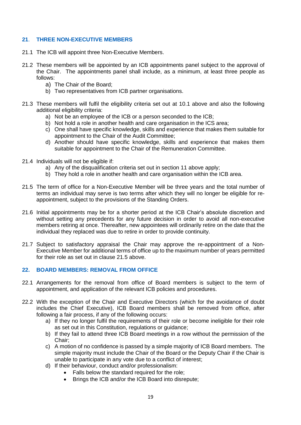## **21**. **THREE NON-EXECUTIVE MEMBERS**

- 21.1 The ICB will appoint three Non-Executive Members.
- 21.2 These members will be appointed by an ICB appointments panel subject to the approval of the Chair. The appointments panel shall include, as a minimum, at least three people as follows:
	- a) The Chair of the Board;
	- b) Two representatives from ICB partner organisations.
- 21.3 These members will fulfil the eligibility criteria set out at 10.1 above and also the following additional eligibility criteria:
	- a) Not be an employee of the ICB or a person seconded to the ICB;
	- b) Not hold a role in another health and care organisation in the ICS area;
	- c) One shall have specific knowledge, skills and experience that makes them suitable for appointment to the Chair of the Audit Committee;
	- d) Another should have specific knowledge, skills and experience that makes them suitable for appointment to the Chair of the Remuneration Committee.
- 21.4 Individuals will not be eligible if:
	- a) Any of the disqualification criteria set out in section 11 above apply;
	- b) They hold a role in another health and care organisation within the ICB area.
- 21.5 The term of office for a Non-Executive Member will be three years and the total number of terms an individual may serve is two terms after which they will no longer be eligible for reappointment, subject to the provisions of the Standing Orders.
- 21.6 Initial appointments may be for a shorter period at the ICB Chair's absolute discretion and without setting any precedents for any future decision in order to avoid all non-executive members retiring at once. Thereafter, new appointees will ordinarily retire on the date that the individual they replaced was due to retire in order to provide continuity.
- 21.7 Subject to satisfactory appraisal the Chair may approve the re-appointment of a Non-Executive Member for additional terms of office up to the maximum number of years permitted for their role as set out in clause 21.5 above.

## **22. BOARD MEMBERS: REMOVAL FROM OFFICE**

- 22.1 Arrangements for the removal from office of Board members is subject to the term of appointment, and application of the relevant ICB policies and procedures.
- 22.2 With the exception of the Chair and Executive Directors (which for the avoidance of doubt includes the Chief Executive), ICB Board members shall be removed from office, after following a fair process, if any of the following occurs:
	- a) If they no longer fulfil the requirements of their role or become ineligible for their role as set out in this Constitution, regulations or guidance;
	- b) If they fail to attend three ICB Board meetings in a row without the permission of the Chair;
	- c) A motion of no confidence is passed by a simple majority of ICB Board members. The simple majority must include the Chair of the Board or the Deputy Chair if the Chair is unable to participate in any vote due to a conflict of interest;
	- d) If their behaviour, conduct and/or professionalism:
		- Falls below the standard required for the role:
		- Brings the ICB and/or the ICB Board into disrepute;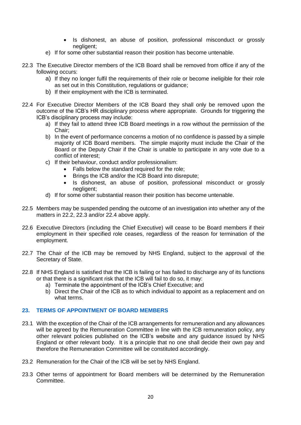- Is dishonest, an abuse of position, professional misconduct or grossly negligent;
- e) If for some other substantial reason their position has become untenable.
- 22.3 The Executive Director members of the ICB Board shall be removed from office if any of the following occurs:
	- a) If they no longer fulfil the requirements of their role or become ineligible for their role as set out in this Constitution, regulations or guidance;
	- b) If their employment with the ICB is terminated.
- 22.4 For Executive Director Members of the ICB Board they shall only be removed upon the outcome of the ICB's HR disciplinary process where appropriate. Grounds for triggering the ICB's disciplinary process may include:
	- a) If they fail to attend three ICB Board meetings in a row without the permission of the Chair;
	- b) In the event of performance concerns a motion of no confidence is passed by a simple majority of ICB Board members. The simple majority must include the Chair of the Board or the Deputy Chair if the Chair is unable to participate in any vote due to a conflict of interest;
	- c) If their behaviour, conduct and/or professionalism:
		- Falls below the standard required for the role;
		- Brings the ICB and/or the ICB Board into disrepute;
		- Is dishonest, an abuse of position, professional misconduct or grossly negligent;
	- d) If for some other substantial reason their position has become untenable.
- 22.5 Members may be suspended pending the outcome of an investigation into whether any of the matters in 22.2, 22.3 and/or 22.4 above apply.
- 22.6 Executive Directors (including the Chief Executive) will cease to be Board members if their employment in their specified role ceases, regardless of the reason for termination of the employment.
- 22.7 The Chair of the ICB may be removed by NHS England, subject to the approval of the Secretary of State.
- 22.8 If NHS England is satisfied that the ICB is failing or has failed to discharge any of its functions or that there is a significant risk that the ICB will fail to do so, it may:
	- a) Terminate the appointment of the ICB's Chief Executive; and
	- b) Direct the Chair of the ICB as to which individual to appoint as a replacement and on what terms.

#### **23. TERMS OF APPOINTMENT OF BOARD MEMBERS**

- 23.1 With the exception of the Chair of the ICB arrangements for remuneration and any allowances will be agreed by the Remuneration Committee in line with the ICB remuneration policy, any other relevant policies published on the ICB's website and any guidance issued by NHS England or other relevant body. It is a principle that no one shall decide their own pay and therefore the Remuneration Committee will be constituted accordingly.
- 23.2 Remuneration for the Chair of the ICB will be set by NHS England.
- 23.3 Other terms of appointment for Board members will be determined by the Remuneration **Committee.**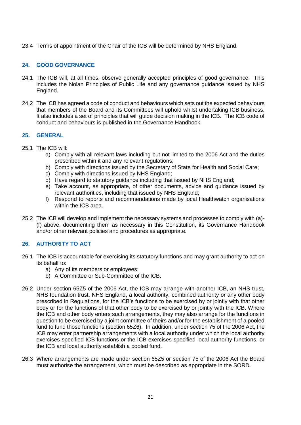23.4 Terms of appointment of the Chair of the ICB will be determined by NHS England.

## **24. GOOD GOVERNANCE**

- 24.1 The ICB will, at all times, observe generally accepted principles of good governance. This includes the Nolan Principles of Public Life and any governance guidance issued by NHS England.
- 24.2 The ICB has agreed a code of conduct and behaviours which sets out the expected behaviours that members of the Board and its Committees will uphold whilst undertaking ICB business. It also includes a set of principles that will guide decision making in the ICB. The ICB code of conduct and behaviours is published in the Governance Handbook.

## **25. GENERAL**

- 25.1 The ICB will:
	- a) Comply with all relevant laws including but not limited to the 2006 Act and the duties prescribed within it and any relevant regulations;
	- b) Comply with directions issued by the Secretary of State for Health and Social Care;
	- c) Comply with directions issued by NHS England;
	- d) Have regard to statutory guidance including that issued by NHS England;
	- e) Take account, as appropriate, of other documents, advice and guidance issued by relevant authorities, including that issued by NHS England;
	- f) Respond to reports and recommendations made by local Healthwatch organisations within the ICB area.
- 25.2 The ICB will develop and implement the necessary systems and processes to comply with (a)- (f) above, documenting them as necessary in this Constitution, its Governance Handbook and/or other relevant policies and procedures as appropriate.

## **26. AUTHORITY TO ACT**

- 26.1 The ICB is accountable for exercising its statutory functions and may grant authority to act on its behalf to:
	- a) Any of its members or employees;
	- b) A Committee or Sub-Committee of the ICB.
- 26.2 Under section 65Z5 of the 2006 Act, the ICB may arrange with another ICB, an NHS trust, NHS foundation trust, NHS England, a local authority, combined authority or any other body prescribed in Regulations, for the ICB's functions to be exercised by or jointly with that other body or for the functions of that other body to be exercised by or jointly with the ICB. Where the ICB and other body enters such arrangements, they may also arrange for the functions in question to be exercised by a joint committee of theirs and/or for the establishment of a pooled fund to fund those functions (section 65Z6). In addition, under section 75 of the 2006 Act, the ICB may enter partnership arrangements with a local authority under which the local authority exercises specified ICB functions or the ICB exercises specified local authority functions, or the ICB and local authority establish a pooled fund.
- 26.3 Where arrangements are made under section 65Z5 or section 75 of the 2006 Act the Board must authorise the arrangement, which must be described as appropriate in the SORD.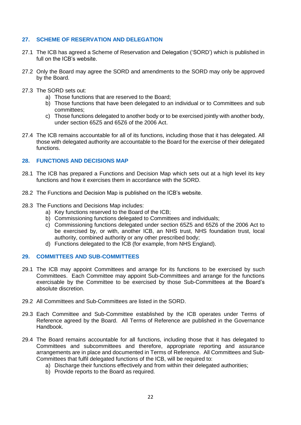## **27. SCHEME OF RESERVATION AND DELEGATION**

- 27.1 The ICB has agreed a Scheme of Reservation and Delegation ('SORD') which is published in full on the ICB's website.
- 27.2 Only the Board may agree the SORD and amendments to the SORD may only be approved by the Board.
- 27.3 The SORD sets out:
	- a) Those functions that are reserved to the Board;
	- b) Those functions that have been delegated to an individual or to Committees and sub committees;
	- c) Those functions delegated to another body or to be exercised jointly with another body, under section 65Z5 and 65Z6 of the 2006 Act.
- 27.4 The ICB remains accountable for all of its functions, including those that it has delegated. All those with delegated authority are accountable to the Board for the exercise of their delegated functions.

## **28. FUNCTIONS AND DECISIONS MAP**

- 28.1 The ICB has prepared a Functions and Decision Map which sets out at a high level its key functions and how it exercises them in accordance with the SORD.
- 28.2 The Functions and Decision Map is published on the ICB's website.
- 28.3 The Functions and Decisions Map includes:
	- a) Key functions reserved to the Board of the ICB;
	- b) Commissioning functions delegated to Committees and individuals;
	- c) Commissioning functions delegated under section 65Z5 and 65Z6 of the 2006 Act to be exercised by, or with, another ICB, an NHS trust, NHS foundation trust, local authority, combined authority or any other prescribed body;
	- d) Functions delegated to the ICB (for example, from NHS England).

## **29. COMMITTEES AND SUB-COMMITTEES**

- 29.1 The ICB may appoint Committees and arrange for its functions to be exercised by such Committees. Each Committee may appoint Sub-Committees and arrange for the functions exercisable by the Committee to be exercised by those Sub-Committees at the Board's absolute discretion.
- 29.2 All Committees and Sub-Committees are listed in the SORD.
- 29.3 Each Committee and Sub-Committee established by the ICB operates under Terms of Reference agreed by the Board. All Terms of Reference are published in the Governance Handbook.
- 29.4 The Board remains accountable for all functions, including those that it has delegated to Committees and subcommittees and therefore, appropriate reporting and assurance arrangements are in place and documented in Terms of Reference. All Committees and Sub-Committees that fulfil delegated functions of the ICB, will be required to:
	- a) Discharge their functions effectively and from within their delegated authorities;
	- b) Provide reports to the Board as required.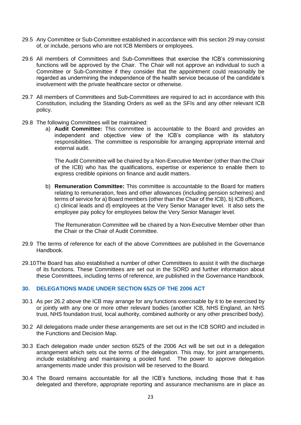- 29.5 Any Committee or Sub-Committee established in accordance with this section 29 may consist of, or include, persons who are not ICB Members or employees.
- 29.6 All members of Committees and Sub-Committees that exercise the ICB's commissioning functions will be approved by the Chair. The Chair will not approve an individual to such a Committee or Sub-Committee if they consider that the appointment could reasonably be regarded as undermining the independence of the health service because of the candidate's involvement with the private healthcare sector or otherwise.
- 29.7 All members of Committees and Sub-Committees are required to act in accordance with this Constitution, including the Standing Orders as well as the SFIs and any other relevant ICB policy.
- 29.8 The following Committees will be maintained:
	- a) **Audit Committee:** This committee is accountable to the Board and provides an independent and objective view of the ICB's compliance with its statutory responsibilities. The committee is responsible for arranging appropriate internal and external audit.

The Audit Committee will be chaired by a Non-Executive Member (other than the Chair of the ICB) who has the qualifications, expertise or experience to enable them to express credible opinions on finance and audit matters.

b) **Remuneration Committee:** This committee is accountable to the Board for matters relating to remuneration, fees and other allowances (including pension schemes) and terms of service for a) Board members (other than the Chair of the ICB), b) ICB officers, c) clinical leads and d) employees at the Very Senior Manager level. It also sets the employee pay policy for employees below the Very Senior Manager level.

The Remuneration Committee will be chaired by a Non-Executive Member other than the Chair or the Chair of Audit Committee.

- 29.9 The terms of reference for each of the above Committees are published in the Governance Handbook.
- 29.10The Board has also established a number of other Committees to assist it with the discharge of its functions. These Committees are set out in the SORD and further information about these Committees, including terms of reference, are published in the Governance Handbook.

## **30. DELEGATIONS MADE UNDER SECTION 65Z5 OF THE 2006 ACT**

- 30.1 As per 26.2 above the ICB may arrange for any functions exercisable by it to be exercised by or jointly with any one or more other relevant bodies (another ICB, NHS England, an NHS trust, NHS foundation trust, local authority, combined authority or any other prescribed body).
- 30.2 All delegations made under these arrangements are set out in the ICB SORD and included in the Functions and Decision Map.
- 30.3 Each delegation made under section 65Z5 of the 2006 Act will be set out in a delegation arrangement which sets out the terms of the delegation. This may, for joint arrangements, include establishing and maintaining a pooled fund. The power to approve delegation arrangements made under this provision will be reserved to the Board.
- 30.4 The Board remains accountable for all the ICB's functions, including those that it has delegated and therefore, appropriate reporting and assurance mechanisms are in place as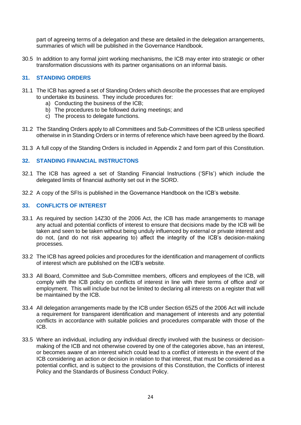part of agreeing terms of a delegation and these are detailed in the delegation arrangements, summaries of which will be published in the Governance Handbook.

30.5 In addition to any formal joint working mechanisms, the ICB may enter into strategic or other transformation discussions with its partner organisations on an informal basis.

## **31. STANDING ORDERS**

- 31.1 The ICB has agreed a set of Standing Orders which describe the processes that are employed to undertake its business. They include procedures for:
	- a) Conducting the business of the ICB;
	- b) The procedures to be followed during meetings; and
	- c) The process to delegate functions.
- 31.2 The Standing Orders apply to all Committees and Sub-Committees of the ICB unless specified otherwise in in Standing Orders or in terms of reference which have been agreed by the Board.
- 31.3 A full copy of the Standing Orders is included in Appendix 2 and form part of this Constitution.

## **32. STANDING FINANCIAL INSTRUCTONS**

- 32.1 The ICB has agreed a set of Standing Financial Instructions ('SFIs') which include the delegated limits of financial authority set out in the SORD.
- 32.2 A copy of the SFIs is published in the Governance Handbook on the ICB's website.

## **33. CONFLICTS OF INTEREST**

- 33.1 As required by section 14Z30 of the 2006 Act, the ICB has made arrangements to manage any actual and potential conflicts of interest to ensure that decisions made by the ICB will be taken and seen to be taken without being unduly influenced by external or private interest and do not, (and do not risk appearing to) affect the integrity of the ICB's decision-making processes.
- 33.2 The ICB has agreed policies and procedures for the identification and management of conflicts of interest which are published on the ICB's website.
- 33.3 All Board, Committee and Sub-Committee members, officers and employees of the ICB, will comply with the ICB policy on conflicts of interest in line with their terms of office and/ or employment. This will include but not be limited to declaring all interests on a register that will be maintained by the ICB.
- 33.4 All delegation arrangements made by the ICB under Section 65Z5 of the 2006 Act will include a requirement for transparent identification and management of interests and any potential conflicts in accordance with suitable policies and procedures comparable with those of the ICB.
- 33.5 Where an individual, including any individual directly involved with the business or decisionmaking of the ICB and not otherwise covered by one of the categories above, has an interest, or becomes aware of an interest which could lead to a conflict of interests in the event of the ICB considering an action or decision in relation to that interest, that must be considered as a potential conflict, and is subject to the provisions of this Constitution, the Conflicts of interest Policy and the Standards of Business Conduct Policy.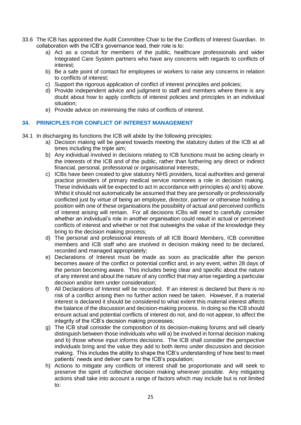- 33.6 The ICB has appointed the Audit Committee Chair to be the Conflicts of Interest Guardian. In collaboration with the ICB's governance lead, their role is to:
	- a) Act as a conduit for members of the public, healthcare professionals and wider Integrated Care System partners who have any concerns with regards to conflicts of interest;
	- b) Be a safe point of contact for employees or workers to raise any concerns in relation to conflicts of interest;
	- c) Support the rigorous application of conflict of interest principles and policies;
	- d) Provide independent advice and judgment to staff and members where there is any doubt about how to apply conflicts of interest policies and principles in an individual situation;
	- e) Provide advice on minimising the risks of conflicts of interest.

## **34. PRINICPLES FOR CONFLICT OF INTEREST MANAGEMENT**

- 34.1 In discharging its functions the ICB will abide by the following principles:
	- a) Decision making will be geared towards meeting the statutory duties of the ICB at all times including the triple aim;
	- b) Any individual involved in decisions relating to ICB functions must be acting clearly in the interests of the ICB and of the public, rather than furthering any direct or indirect financial, personal, professional or organisational interests;
	- c) ICBs have been created to give statutory NHS providers, local authorities and general practice providers of primary medical service nominees a role in decision making. These individuals will be expected to act in accordance with principles a) and b) above. Whilst it should not automatically be assumed that they are personally or professionally conflicted just by virtue of being an employee, director, partner or otherwise holding a position with one of these organisations the possibility of actual and perceived conflicts of interest arising will remain. For all decisions ICBs will need to carefully consider whether an individual's role in another organisation could result in actual or perceived conflicts of interest and whether or not that outweighs the value of the knowledge they bring to the decision making process;
	- d) The personal and professional interests of all ICB Board Members, ICB committee members and ICB staff who are involved in decision making need to be declared, recorded and managed appropriately;
	- e) Declarations of Interest must be made as soon as practicable after the person becomes aware of the conflict or potential conflict and, in any event, within 28 days of the person becoming aware. This includes being clear and specific about the nature of any interest and about the nature of any conflict that may arise regarding a particular decision and/or item under consideration;
	- f) All Declarations of Interest will be recorded. If an interest is declared but there is no risk of a conflict arising then no further action need be taken. However, if a material interest is declared it should be considered to what extent this material interest affects the balance of the discussion and decision-making process. In doing so the ICB should ensure actual and potential conflicts of interest do not, and do not appear, to affect the integrity of the ICB's decision making processes;
	- g) The ICB shall consider the composition of its decision-making forums and will clearly distinguish between those individuals who will a) be involved in formal decision making and b) those whose input informs decisions. The ICB shall consider the perspective individuals bring and the value they add to both items under discussion and decision making. This includes the ability to shape the ICB's understanding of how best to meet patients' needs and deliver care for the ICB's population;
	- h) Actions to mitigate any conflicts of interest shall be proportionate and will seek to preserve the spirit of collective decision making wherever possible. Any mitigating actions shall take into account a range of factors which may include but is not limited to: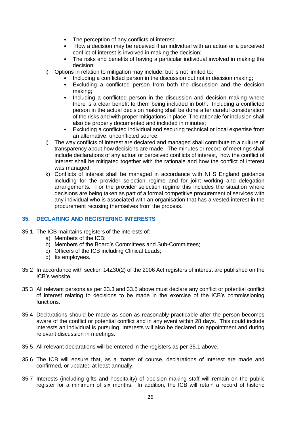- The perception of any conflicts of interest;
- How a decision may be received if an individual with an actual or a perceived conflict of interest is involved in making the decision;
- The risks and benefits of having a particular individual involved in making the decision;
- i) Options in relation to mitigation may include, but is not limited to:
	- Including a conflicted person in the discussion but not in decision making;
	- Excluding a conflicted person from both the discussion and the decision making;
	- Including a conflicted person in the discussion and decision making where there is a clear benefit to them being included in both. Including a conflicted person in the actual decision making shall be done after careful consideration of the risks and with proper mitigations in place. The rationale for inclusion shall also be properly documented and included in minutes;
	- Excluding a conflicted individual and securing technical or local expertise from an alternative, unconflicted source;
- j) The way conflicts of interest are declared and managed shall contribute to a culture of transparency about how decisions are made. The minutes or record of meetings shall include declarations of any actual or perceived conflicts of interest, how the conflict of interest shall be mitigated together with the rationale and how the conflict of interest was managed;
- k) Conflicts of interest shall be managed in accordance with NHS England guidance including for the provider selection regime and for joint working and delegation arrangements. For the provider selection regime this includes the situation where decisions are being taken as part of a formal competitive procurement of services with any individual who is associated with an organisation that has a vested interest in the procurement recusing themselves from the process.

## **35. DECLARING AND REGISTERING INTERESTS**

- 35.1 The ICB maintains registers of the interests of:
	- a) Members of the ICB;
	- b) Members of the Board's Committees and Sub-Committees;
	- c) Officers of the ICB including Clinical Leads;
	- d) Its employees.
- 35.2 In accordance with section 14Z30(2) of the 2006 Act registers of interest are published on the ICB's website.
- 35.3 All relevant persons as per 33.3 and 33.5 above must declare any conflict or potential conflict of interest relating to decisions to be made in the exercise of the ICB's commissioning functions.
- 35.4 Declarations should be made as soon as reasonably practicable after the person becomes aware of the conflict or potential conflict and in any event within 28 days. This could include interests an individual is pursuing. Interests will also be declared on appointment and during relevant discussion in meetings.
- 35.5 All relevant declarations will be entered in the registers as per 35.1 above.
- 35.6 The ICB will ensure that, as a matter of course, declarations of interest are made and confirmed, or updated at least annually.
- 35.7 Interests (including gifts and hospitality) of decision-making staff will remain on the public register for a minimum of six months. In addition, the ICB will retain a record of historic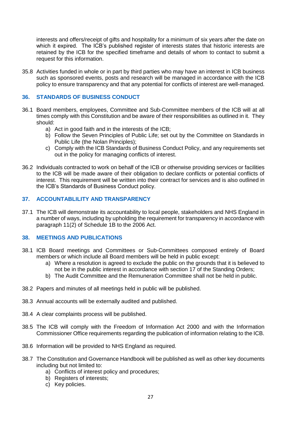interests and offers/receipt of gifts and hospitality for a minimum of six years after the date on which it expired. The ICB's published register of interests states that historic interests are retained by the ICB for the specified timeframe and details of whom to contact to submit a request for this information.

35.8 Activities funded in whole or in part by third parties who may have an interest in ICB business such as sponsored events, posts and research will be managed in accordance with the ICB policy to ensure transparency and that any potential for conflicts of interest are well-managed.

## **36. STANDARDS OF BUSINESS CONDUCT**

- 36.1 Board members, employees, Committee and Sub-Committee members of the ICB will at all times comply with this Constitution and be aware of their responsibilities as outlined in it. They should:
	- a) Act in good faith and in the interests of the ICB;
	- b) Follow the Seven Principles of Public Life; set out by the Committee on Standards in Public Life (the Nolan Principles);
	- c) Comply with the ICB Standards of Business Conduct Policy, and any requirements set out in the policy for managing conflicts of interest.
- 36.2 Individuals contracted to work on behalf of the ICB or otherwise providing services or facilities to the ICB will be made aware of their obligation to declare conflicts or potential conflicts of interest. This requirement will be written into their contract for services and is also outlined in the ICB's Standards of Business Conduct policy.

## **37. ACCOUNTABLILITY AND TRANSPARENCY**

37.1 The ICB will demonstrate its accountability to local people, stakeholders and NHS England in a number of ways, including by upholding the requirement for transparency in accordance with paragraph 11(2) of Schedule 1B to the 2006 Act.

## **38. MEETINGS AND PUBLICATIONS**

- 38.1 ICB Board meetings and Committees or Sub-Committees composed entirely of Board members or which include all Board members will be held in public except:
	- a) Where a resolution is agreed to exclude the public on the grounds that it is believed to not be in the public interest in accordance with section 17 of the Standing Orders;
	- b) The Audit Committee and the Remuneration Committee shall not be held in public.
- 38.2 Papers and minutes of all meetings held in public will be published.
- 38.3 Annual accounts will be externally audited and published.
- 38.4 A clear complaints process will be published.
- 38.5 The ICB will comply with the Freedom of Information Act 2000 and with the Information Commissioner Office requirements regarding the publication of information relating to the ICB.
- 38.6 Information will be provided to NHS England as required.
- 38.7 The Constitution and Governance Handbook will be published as well as other key documents including but not limited to:
	- a) Conflicts of interest policy and procedures;
	- b) Registers of interests;
	- c) Key policies.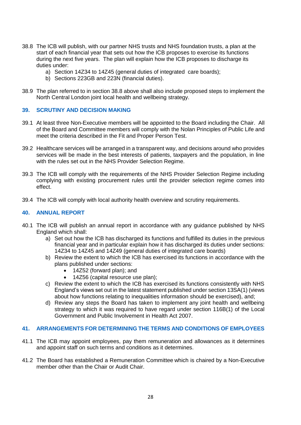- 38.8 The ICB will publish, with our partner NHS trusts and NHS foundation trusts, a plan at the start of each financial year that sets out how the ICB proposes to exercise its functions during the next five years. The plan will explain how the ICB proposes to discharge its duties under:
	- a) Section 14Z34 to 14Z45 (general duties of integrated care boards);
	- b) Sections 223GB and 223N (financial duties).
- 38.9 The plan referred to in section 38.8 above shall also include proposed steps to implement the North Central London joint local health and wellbeing strategy.

## **39. SCRUTINY AND DECISION MAKING**

- 39.1 At least three Non-Executive members will be appointed to the Board including the Chair. All of the Board and Committee members will comply with the Nolan Principles of Public Life and meet the criteria described in the Fit and Proper Person Test.
- 39.2 Healthcare services will be arranged in a transparent way, and decisions around who provides services will be made in the best interests of patients, taxpayers and the population, in line with the rules set out in the NHS Provider Selection Regime.
- 39.3 The ICB will comply with the requirements of the NHS Provider Selection Regime including complying with existing procurement rules until the provider selection regime comes into effect.
- 39.4 The ICB will comply with local authority health overview and scrutiny requirements.

## **40. ANNUAL REPORT**

- 40.1 The ICB will publish an annual report in accordance with any guidance published by NHS England which shall:
	- a) Set out how the ICB has discharged its functions and fulfilled its duties in the previous financial year and in particular explain how it has discharged its duties under sections: 14Z34 to 14Z45 and 14Z49 (general duties of integrated care boards)
	- b) Review the extent to which the ICB has exercised its functions in accordance with the plans published under sections:
		- 14Z52 (forward plan); and
		- 14Z56 (capital resource use plan);
	- c) Review the extent to which the ICB has exercised its functions consistently with NHS England's views set out in the latest statement published under section 13SA(1) (views about how functions relating to inequalities information should be exercised), and;
	- d) Review any steps the Board has taken to implement any joint health and wellbeing strategy to which it was required to have regard under section 116B(1) of the Local Government and Public Involvement in Health Act 2007.

#### **41. ARRANGEMENTS FOR DETERMINING THE TERMS AND CONDITIONS OF EMPLOYEES**

- 41.1 The ICB may appoint employees, pay them remuneration and allowances as it determines and appoint staff on such terms and conditions as it determines.
- 41.2 The Board has established a Remuneration Committee which is chaired by a Non-Executive member other than the Chair or Audit Chair.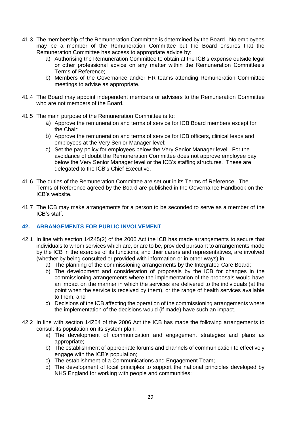- 41.3 The membership of the Remuneration Committee is determined by the Board. No employees may be a member of the Remuneration Committee but the Board ensures that the Remuneration Committee has access to appropriate advice by:
	- a) Authorising the Remuneration Committee to obtain at the ICB's expense outside legal or other professional advice on any matter within the Remuneration Committee's Terms of Reference;
	- b) Members of the Governance and/or HR teams attending Remuneration Committee meetings to advise as appropriate.
- 41.4 The Board may appoint independent members or advisers to the Remuneration Committee who are not members of the Board.
- 41.5 The main purpose of the Remuneration Committee is to:
	- a) Approve the remuneration and terms of service for ICB Board members except for the Chair;
	- b) Approve the remuneration and terms of service for ICB officers, clinical leads and employees at the Very Senior Manager level;
	- c) Set the pay policy for employees below the Very Senior Manager level. For the avoidance of doubt the Remuneration Committee does not approve employee pay below the Very Senior Manager level or the ICB's staffing structures. These are delegated to the ICB's Chief Executive.
- 41.6 The duties of the Remuneration Committee are set out in its Terms of Reference. The Terms of Reference agreed by the Board are published in the Governance Handbook on the ICB's website.
- 41.7 The ICB may make arrangements for a person to be seconded to serve as a member of the ICB's staff.

## **42. ARRANGEMENTS FOR PUBLIC INVOLVEMENT**

- 42.1 In line with section 14Z45(2) of the 2006 Act the ICB has made arrangements to secure that individuals to whom services which are, or are to be, provided pursuant to arrangements made by the ICB in the exercise of its functions, and their carers and representatives, are involved (whether by being consulted or provided with information or in other ways) in:
	- a) The planning of the commissioning arrangements by the Integrated Care Board;
	- b) The development and consideration of proposals by the ICB for changes in the commissioning arrangements where the implementation of the proposals would have an impact on the manner in which the services are delivered to the individuals (at the point when the service is received by them), or the range of health services available to them; and
	- c) Decisions of the ICB affecting the operation of the commissioning arrangements where the implementation of the decisions would (if made) have such an impact.
- 42.2 In line with section 14Z54 of the 2006 Act the ICB has made the following arrangements to consult its population on its system plan:
	- a) The development of communication and engagement strategies and plans as appropriate;
	- b) The establishment of appropriate forums and channels of communication to effectively engage with the ICB's population;
	- c) The establishment of a Communications and Engagement Team;
	- d) The development of local principles to support the national principles developed by NHS England for working with people and communities;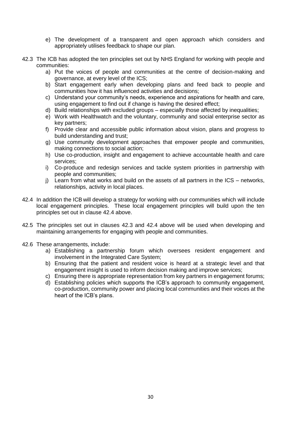- e) The development of a transparent and open approach which considers and appropriately utilises feedback to shape our plan.
- 42.3 The ICB has adopted the ten principles set out by NHS England for working with people and communities:
	- a) Put the voices of people and communities at the centre of decision-making and governance, at every level of the ICS;
	- b) Start engagement early when developing plans and feed back to people and communities how it has influenced activities and decisions;
	- c) Understand your community's needs, experience and aspirations for health and care, using engagement to find out if change is having the desired effect;
	- d) Build relationships with excluded groups especially those affected by inequalities;
	- e) Work with Healthwatch and the voluntary, community and social enterprise sector as key partners;
	- f) Provide clear and accessible public information about vision, plans and progress to build understanding and trust;
	- g) Use community development approaches that empower people and communities, making connections to social action;
	- h) Use co-production, insight and engagement to achieve accountable health and care services;
	- i) Co-produce and redesign services and tackle system priorities in partnership with people and communities;
	- j) Learn from what works and build on the assets of all partners in the ICS networks, relationships, activity in local places.
- 42.4 In addition the ICB will develop a strategy for working with our communities which will include local engagement principles. These local engagement principles will build upon the ten principles set out in clause 42.4 above.
- 42.5 The principles set out in clauses 42.3 and 42.4 above will be used when developing and maintaining arrangements for engaging with people and communities.
- 42.6 These arrangements, include:
	- a) Establishing a partnership forum which oversees resident engagement and involvement in the Integrated Care System;
	- b) Ensuring that the patient and resident voice is heard at a strategic level and that engagement insight is used to inform decision making and improve services;
	- c) Ensuring there is appropriate representation from key partners in engagement forums;
	- d) Establishing policies which supports the ICB's approach to community engagement, co-production, community power and placing local communities and their voices at the heart of the ICB's plans.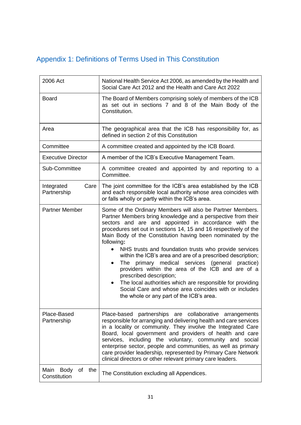# Appendix 1: Definitions of Terms Used in This Constitution

| 2006 Act                               | National Health Service Act 2006, as amended by the Health and<br>Social Care Act 2012 and the Health and Care Act 2022                                                                                                                                                                                                                                                                                                                                                                                                                                                                                                                                                                                                                                                                  |  |
|----------------------------------------|------------------------------------------------------------------------------------------------------------------------------------------------------------------------------------------------------------------------------------------------------------------------------------------------------------------------------------------------------------------------------------------------------------------------------------------------------------------------------------------------------------------------------------------------------------------------------------------------------------------------------------------------------------------------------------------------------------------------------------------------------------------------------------------|--|
| <b>Board</b>                           | The Board of Members comprising solely of members of the ICB<br>as set out in sections 7 and 8 of the Main Body of the<br>Constitution.                                                                                                                                                                                                                                                                                                                                                                                                                                                                                                                                                                                                                                                  |  |
| Area                                   | The geographical area that the ICB has responsibility for, as<br>defined in section 2 of this Constitution                                                                                                                                                                                                                                                                                                                                                                                                                                                                                                                                                                                                                                                                               |  |
| Committee                              | A committee created and appointed by the ICB Board.                                                                                                                                                                                                                                                                                                                                                                                                                                                                                                                                                                                                                                                                                                                                      |  |
| <b>Executive Director</b>              | A member of the ICB's Executive Management Team.                                                                                                                                                                                                                                                                                                                                                                                                                                                                                                                                                                                                                                                                                                                                         |  |
| Sub-Committee                          | A committee created and appointed by and reporting to a<br>Committee.                                                                                                                                                                                                                                                                                                                                                                                                                                                                                                                                                                                                                                                                                                                    |  |
| Care<br>Integrated<br>Partnership      | The joint committee for the ICB's area established by the ICB<br>and each responsible local authority whose area coincides with<br>or falls wholly or partly within the ICB's area.                                                                                                                                                                                                                                                                                                                                                                                                                                                                                                                                                                                                      |  |
| <b>Partner Member</b>                  | Some of the Ordinary Members will also be Partner Members.<br>Partner Members bring knowledge and a perspective from their<br>sectors and are and appointed in accordance with the<br>procedures set out in sections 14, 15 and 16 respectively of the<br>Main Body of the Constitution having been nominated by the<br>following:<br>NHS trusts and foundation trusts who provide services<br>within the ICB's area and are of a prescribed description;<br>The primary medical services (general practice)<br>$\bullet$<br>providers within the area of the ICB and are of a<br>prescribed description;<br>The local authorities which are responsible for providing<br>$\bullet$<br>Social Care and whose area coincides with or includes<br>the whole or any part of the ICB's area. |  |
| Place-Based<br>Partnership             | Place-based partnerships are collaborative arrangements<br>responsible for arranging and delivering health and care services<br>in a locality or community. They involve the Integrated Care<br>Board, local government and providers of health and care<br>services, including the voluntary, community and social<br>enterprise sector, people and communities, as well as primary<br>care provider leadership, represented by Primary Care Network<br>clinical directors or other relevant primary care leaders.                                                                                                                                                                                                                                                                      |  |
| Main Body<br>the<br>of<br>Constitution | The Constitution excluding all Appendices.                                                                                                                                                                                                                                                                                                                                                                                                                                                                                                                                                                                                                                                                                                                                               |  |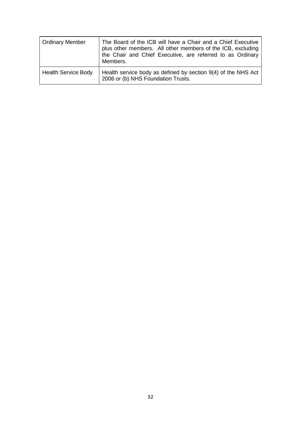| Ordinary Member            | The Board of the ICB will have a Chair and a Chief Executive<br>plus other members. All other members of the ICB, excluding<br>the Chair and Chief Executive, are referred to as Ordinary<br>Members. |
|----------------------------|-------------------------------------------------------------------------------------------------------------------------------------------------------------------------------------------------------|
| <b>Health Service Body</b> | Health service body as defined by section 9(4) of the NHS Act<br>2006 or (b) NHS Foundation Trusts.                                                                                                   |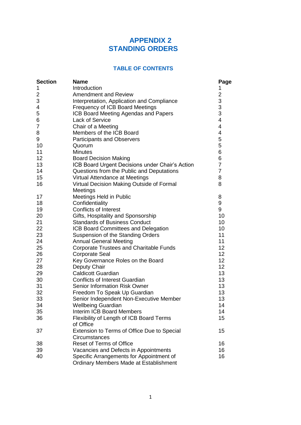# **APPENDIX 2 STANDING ORDERS**

## **TABLE OF CONTENTS**

| <b>Section</b> | <b>Name</b>                                     | Page                                       |
|----------------|-------------------------------------------------|--------------------------------------------|
| 1              | Introduction                                    | 1                                          |
| $\overline{2}$ | <b>Amendment and Review</b>                     | $\overline{\mathbf{c}}$                    |
| 3              | Interpretation, Application and Compliance      |                                            |
| 4              | Frequency of ICB Board Meetings                 | $\begin{array}{c} 3 \\ 3 \\ 3 \end{array}$ |
| 5              | ICB Board Meeting Agendas and Papers            |                                            |
| 6              | <b>Lack of Service</b>                          | 4                                          |
| $\overline{7}$ | Chair of a Meeting                              | 4                                          |
| 8              | Members of the ICB Board                        | 4                                          |
| 9              | <b>Participants and Observers</b>               | 5                                          |
| 10             | Quorum                                          | 5                                          |
| 11             | <b>Minutes</b>                                  | 6                                          |
| 12             | <b>Board Decision Making</b>                    | 6                                          |
| 13             | ICB Board Urgent Decisions under Chair's Action | $\overline{7}$                             |
| 14             | Questions from the Public and Deputations       | $\overline{7}$                             |
| 15             | Virtual Attendance at Meetings                  | 8                                          |
| 16             | Virtual Decision Making Outside of Formal       | 8                                          |
|                | Meetings                                        |                                            |
| 17             | Meetings Held in Public                         | 8                                          |
| 18             | Confidentiality                                 | 9                                          |
| 19             | <b>Conflicts of Interest</b>                    | 9                                          |
| 20             | Gifts, Hospitality and Sponsorship              | 10                                         |
| 21             | <b>Standards of Business Conduct</b>            | 10                                         |
| 22             | ICB Board Committees and Delegation             | 10                                         |
| 23             | <b>Suspension of the Standing Orders</b>        | 11                                         |
| 24             | <b>Annual General Meeting</b>                   | 11                                         |
| 25             | <b>Corporate Trustees and Charitable Funds</b>  | 12                                         |
| 26             | <b>Corporate Seal</b>                           | 12                                         |
| 27             | Key Governance Roles on the Board               | 12                                         |
| 28             | Deputy Chair                                    | 12                                         |
| 29             | <b>Caldicott Guardian</b>                       | 13                                         |
| 30             | <b>Conflicts of Interest Guardian</b>           | 13                                         |
| 31             | Senior Information Risk Owner                   | 13                                         |
| 32             | Freedom To Speak Up Guardian                    | 13                                         |
| 33             | Senior Independent Non-Executive Member         | 13                                         |
| 34             | <b>Wellbeing Guardian</b>                       | 14                                         |
| 35             | <b>Interim ICB Board Members</b>                | 14                                         |
| 36             | Flexibility of Length of ICB Board Terms        | 15                                         |
|                | of Office                                       |                                            |
| 37             | Extension to Terms of Office Due to Special     | 15                                         |
|                | Circumstances                                   |                                            |
| 38             | <b>Reset of Terms of Office</b>                 | 16                                         |
| 39             | Vacancies and Defects in Appointments           | 16                                         |
| 40             | Specific Arrangements for Appointment of        | 16                                         |
|                | <b>Ordinary Members Made at Establishment</b>   |                                            |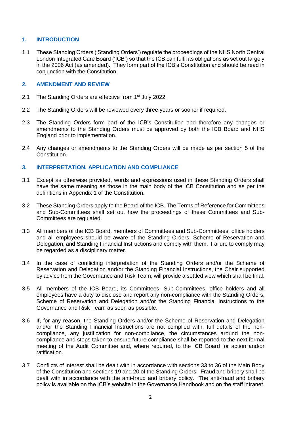## **1. INTRODUCTION**

1.1 These Standing Orders ('Standing Orders') regulate the proceedings of the NHS North Central London Integrated Care Board ('ICB') so that the ICB can fulfil its obligations as set out largely in the 2006 Act (as amended). They form part of the ICB's Constitution and should be read in conjunction with the Constitution.

## **2. AMENDMENT AND REVIEW**

- 2.1 The Standing Orders are effective from 1<sup>st</sup> July 2022.
- 2.2 The Standing Orders will be reviewed every three years or sooner if required.
- 2.3 The Standing Orders form part of the ICB's Constitution and therefore any changes or amendments to the Standing Orders must be approved by both the ICB Board and NHS England prior to implementation.
- 2.4 Any changes or amendments to the Standing Orders will be made as per section 5 of the Constitution.

## **3. INTERPRETATION, APPLICATION AND COMPLIANCE**

- 3.1 Except as otherwise provided, words and expressions used in these Standing Orders shall have the same meaning as those in the main body of the ICB Constitution and as per the definitions in Appendix 1 of the Constitution.
- 3.2 These Standing Orders apply to the Board of the ICB. The Terms of Reference for Committees and Sub-Committees shall set out how the proceedings of these Committees and Sub-Committees are regulated.
- 3.3 All members of the ICB Board, members of Committees and Sub-Committees, office holders and all employees should be aware of the Standing Orders, Scheme of Reservation and Delegation, and Standing Financial Instructions and comply with them. Failure to comply may be regarded as a disciplinary matter.
- 3.4 In the case of conflicting interpretation of the Standing Orders and/or the Scheme of Reservation and Delegation and/or the Standing Financial Instructions, the Chair supported by advice from the Governance and Risk Team, will provide a settled view which shall be final.
- 3.5 All members of the ICB Board, its Committees, Sub-Committees, office holders and all employees have a duty to disclose and report any non-compliance with the Standing Orders, Scheme of Reservation and Delegation and/or the Standing Financial Instructions to the Governance and Risk Team as soon as possible.
- 3.6 If, for any reason, the Standing Orders and/or the Scheme of Reservation and Delegation and/or the Standing Financial Instructions are not complied with, full details of the noncompliance, any justification for non-compliance, the circumstances around the noncompliance and steps taken to ensure future compliance shall be reported to the next formal meeting of the Audit Committee and, where required, to the ICB Board for action and/or ratification.
- 3.7 Conflicts of interest shall be dealt with in accordance with sections 33 to 36 of the Main Body of the Constitution and sections 19 and 20 of the Standing Orders. Fraud and bribery shall be dealt with in accordance with the anti-fraud and bribery policy. The anti-fraud and bribery policy is available on the ICB's website in the Governance Handbook and on the staff intranet.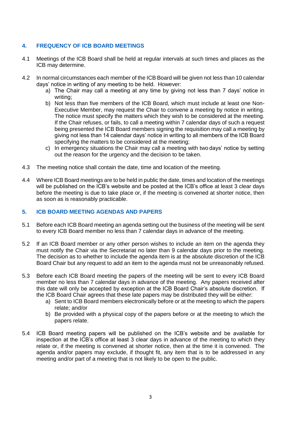## **4. FREQUENCY OF ICB BOARD MEETINGS**

- 4.1 Meetings of the ICB Board shall be held at regular intervals at such times and places as the ICB may determine.
- 4.2 In normal circumstances each member of the ICB Board will be given not less than 10 calendar days' notice in writing of any meeting to be held. However:
	- a) The Chair may call a meeting at any time by giving not less than 7 days' notice in writing;
	- b) Not less than five members of the ICB Board, which must include at least one Non-Executive Member, may request the Chair to convene a meeting by notice in writing. The notice must specify the matters which they wish to be considered at the meeting. If the Chair refuses, or fails, to call a meeting within 7 calendar days of such a request being presented the ICB Board members signing the requisition may call a meeting by giving not less than 14 calendar days' notice in writing to all members of the ICB Board specifying the matters to be considered at the meeting;
	- c) In emergency situations the Chair may call a meeting with two days' notice by setting out the reason for the urgency and the decision to be taken.
- 4.3 The meeting notice shall contain the date, time and location of the meeting.
- 4.4 Where ICB Board meetings are to be held in public the date, times and location of the meetings will be published on the ICB's website and be posted at the ICB's office at least 3 clear days before the meeting is due to take place or, if the meeting is convened at shorter notice, then as soon as is reasonably practicable.

#### **5. ICB BOARD MEETING AGENDAS AND PAPERS**

- 5.1 Before each ICB Board meeting an agenda setting out the business of the meeting will be sent to every ICB Board member no less than 7 calendar days in advance of the meeting.
- 5.2 If an ICB Board member or any other person wishes to include an item on the agenda they must notify the Chair via the Secretariat no later than 9 calendar days prior to the meeting. The decision as to whether to include the agenda item is at the absolute discretion of the ICB Board Chair but any request to add an item to the agenda must not be unreasonably refused.
- 5.3 Before each ICB Board meeting the papers of the meeting will be sent to every ICB Board member no less than 7 calendar days in advance of the meeting. Any papers received after this date will only be accepted by exception at the ICB Board Chair's absolute discretion. If the ICB Board Chair agrees that these late papers may be distributed they will be either:
	- a) Sent to ICB Board members electronically before or at the meeting to which the papers relate; and/or
	- b) Be provided with a physical copy of the papers before or at the meeting to which the papers relate.
- 5.4 ICB Board meeting papers will be published on the ICB's website and be available for inspection at the ICB's office at least 3 clear days in advance of the meeting to which they relate or, if the meeting is convened at shorter notice, then at the time it is convened. The agenda and/or papers may exclude, if thought fit, any item that is to be addressed in any meeting and/or part of a meeting that is not likely to be open to the public.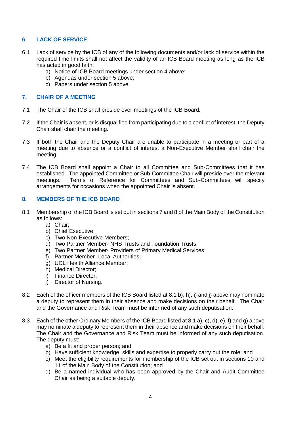## **6 LACK OF SERVICE**

- 6.1 Lack of service by the ICB of any of the following documents and/or lack of service within the required time limits shall not affect the validity of an ICB Board meeting as long as the ICB has acted in good faith:
	- a) Notice of ICB Board meetings under section 4 above;
	- b) Agendas under section 5 above;
	- c) Papers under section 5 above.

## **7. CHAIR OF A MEETING**

- 7.1 The Chair of the ICB shall preside over meetings of the ICB Board.
- 7.2 If the Chair is absent, or is disqualified from participating due to a conflict of interest, the Deputy Chair shall chair the meeting.
- 7.3 If both the Chair and the Deputy Chair are unable to participate in a meeting or part of a meeting due to absence or a conflict of interest a Non-Executive Member shall chair the meeting.
- 7.4 The ICB Board shall appoint a Chair to all Committee and Sub-Committees that it has established. The appointed Committee or Sub-Committee Chair will preside over the relevant meetings. Terms of Reference for Committees and Sub-Committees will specify arrangements for occasions when the appointed Chair is absent.

## **8. MEMBERS OF THE ICB BOARD**

- 8.1 Membership of the ICB Board is set out in sections 7 and 8 of the Main Body of the Constitution as follows:
	- a) Chair;
	- b) Chief Executive;
	- c) Two Non-Executive Members;
	- d) Two Partner Member- NHS Trusts and Foundation Trusts;
	- e) Two Partner Member- Providers of Primary Medical Services;
	- f) Partner Member- Local Authorities;
	- g) UCL Health Alliance Member;
	- h) Medical Director;
	- i) Finance Director;
	- j) Director of Nursing.
- 8.2 Each of the officer members of the ICB Board listed at 8.1 b), h), i) and j) above may nominate a deputy to represent them in their absence and make decisions on their behalf. The Chair and the Governance and Risk Team must be informed of any such deputisation.
- 8.3 Each of the other Ordinary Members of the ICB Board listed at 8.1 a), c), d), e), f) and g) above may nominate a deputy to represent them in their absence and make decisions on their behalf. The Chair and the Governance and Risk Team must be informed of any such deputisation. The deputy must:
	- a) Be a fit and proper person; and
	- b) Have sufficient knowledge, skills and expertise to properly carry out the role; and
	- c) Meet the eligibility requirements for membership of the ICB set out in sections 10 and 11 of the Main Body of the Constitution; and
	- d) Be a named individual who has been approved by the Chair and Audit Committee Chair as being a suitable deputy.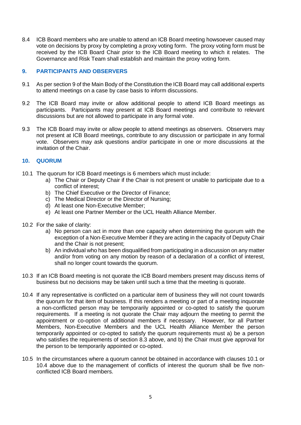8.4 ICB Board members who are unable to attend an ICB Board meeting howsoever caused may vote on decisions by proxy by completing a proxy voting form. The proxy voting form must be received by the ICB Board Chair prior to the ICB Board meeting to which it relates. The Governance and Risk Team shall establish and maintain the proxy voting form.

## **9. PARTICIPANTS AND OBSERVERS**

- 9.1 As per section 9 of the Main Body of the Constitution the ICB Board may call additional experts to attend meetings on a case by case basis to inform discussions.
- 9.2 The ICB Board may invite or allow additional people to attend ICB Board meetings as participants. Participants may present at ICB Board meetings and contribute to relevant discussions but are not allowed to participate in any formal vote.
- 9.3 The ICB Board may invite or allow people to attend meetings as observers. Observers may not present at ICB Board meetings, contribute to any discussion or participate in any formal vote. Observers may ask questions and/or participate in one or more discussions at the invitation of the Chair.

## **10. QUORUM**

- 10.1 The quorum for ICB Board meetings is 6 members which must include:
	- a) The Chair or Deputy Chair if the Chair is not present or unable to participate due to a conflict of interest;
	- b) The Chief Executive or the Director of Finance;
	- c) The Medical Director or the Director of Nursing;
	- d) At least one Non-Executive Member;
	- e) At least one Partner Member or the UCL Health Alliance Member.
- 10.2 For the sake of clarity:
	- a) No person can act in more than one capacity when determining the quorum with the exception of a Non-Executive Member if they are acting in the capacity of Deputy Chair and the Chair is not present;
	- b) An individual who has been disqualified from participating in a discussion on any matter and/or from voting on any motion by reason of a declaration of a conflict of interest. shall no longer count towards the quorum.
- 10.3 If an ICB Board meeting is not quorate the ICB Board members present may discuss items of business but no decisions may be taken until such a time that the meeting is quorate.
- 10.4 If any representative is conflicted on a particular item of business they will not count towards the quorum for that item of business. If this renders a meeting or part of a meeting inquorate a non-conflicted person may be temporarily appointed or co-opted to satisfy the quorum requirements. If a meeting is not quorate the Chair may adjourn the meeting to permit the appointment or co-option of additional members if necessary. However, for all Partner Members, Non-Executive Members and the UCL Health Alliance Member the person temporarily appointed or co-opted to satisfy the quorum requirements must a) be a person who satisfies the requirements of section 8.3 above, and b) the Chair must give approval for the person to be temporarily appointed or co-opted.
- 10.5 In the circumstances where a quorum cannot be obtained in accordance with clauses 10.1 or 10.4 above due to the management of conflicts of interest the quorum shall be five nonconflicted ICB Board members.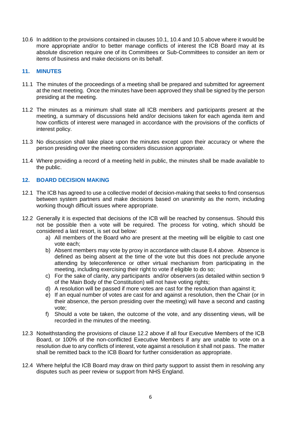10.6 In addition to the provisions contained in clauses 10.1, 10.4 and 10.5 above where it would be more appropriate and/or to better manage conflicts of interest the ICB Board may at its absolute discretion require one of its Committees or Sub-Committees to consider an item or items of business and make decisions on its behalf.

## **11. MINUTES**

- 11.1 The minutes of the proceedings of a meeting shall be prepared and submitted for agreement at the next meeting. Once the minutes have been approved they shall be signed by the person presiding at the meeting.
- 11.2 The minutes as a minimum shall state all ICB members and participants present at the meeting, a summary of discussions held and/or decisions taken for each agenda item and how conflicts of interest were managed in accordance with the provisions of the conflicts of interest policy.
- 11.3 No discussion shall take place upon the minutes except upon their accuracy or where the person presiding over the meeting considers discussion appropriate.
- 11.4 Where providing a record of a meeting held in public, the minutes shall be made available to the public.

## **12. BOARD DECISION MAKING**

- 12.1 The ICB has agreed to use a collective model of decision-making that seeks to find consensus between system partners and make decisions based on unanimity as the norm, including working though difficult issues where appropriate.
- 12.2 Generally it is expected that decisions of the ICB will be reached by consensus. Should this not be possible then a vote will be required. The process for voting, which should be considered a last resort, is set out below:
	- a) All members of the Board who are present at the meeting will be eligible to cast one vote each;
	- b) Absent members may vote by proxy in accordance with clause 8.4 above. Absence is defined as being absent at the time of the vote but this does not preclude anyone attending by teleconference or other virtual mechanism from participating in the meeting, including exercising their right to vote if eligible to do so;
	- c) For the sake of clarity, any participants and/or observers (as detailed within section 9 of the Main Body of the Constitution) will not have voting rights;
	- d) A resolution will be passed if more votes are cast for the resolution than against it;
	- e) If an equal number of votes are cast for and against a resolution, then the Chair (or in their absence, the person presiding over the meeting) will have a second and casting vote;
	- f) Should a vote be taken, the outcome of the vote, and any dissenting views, will be recorded in the minutes of the meeting.
- 12.3 Notwithstanding the provisions of clause 12.2 above if all four Executive Members of the ICB Board, or 100% of the non-conflicted Executive Members if any are unable to vote on a resolution due to any conflicts of interest, vote against a resolution it shall not pass. The matter shall be remitted back to the ICB Board for further consideration as appropriate.
- 12.4 Where helpful the ICB Board may draw on third party support to assist them in resolving any disputes such as peer review or support from NHS England.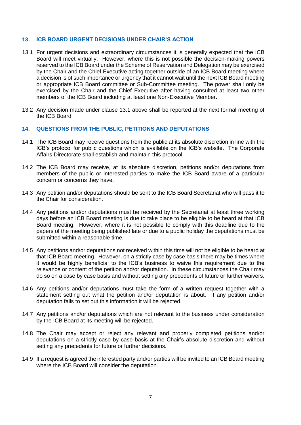#### **13. ICB BOARD URGENT DECISIONS UNDER CHAIR'S ACTION**

- 13.1 For urgent decisions and extraordinary circumstances it is generally expected that the ICB Board will meet virtually. However, where this is not possible the decision-making powers reserved to the ICB Board under the Scheme of Reservation and Delegation may be exercised by the Chair and the Chief Executive acting together outside of an ICB Board meeting where a decision is of such importance or urgency that it cannot wait until the next ICB Board meeting or appropriate ICB Board committee or Sub-Committee meeting. The power shall only be exercised by the Chair and the Chief Executive after having consulted at least two other members of the ICB Board including at least one Non-Executive Member.
- 13.2 Any decision made under clause 13.1 above shall be reported at the next formal meeting of the ICB Board.

#### **14. QUESTIONS FROM THE PUBLIC, PETITIONS AND DEPUTATIONS**

- 14.1 The ICB Board may receive questions from the public at its absolute discretion in line with the ICB's protocol for public questions which is available on the ICB's website. The Corporate Affairs Directorate shall establish and maintain this protocol.
- 14.2 The ICB Board may receive, at its absolute discretion, petitions and/or deputations from members of the public or interested parties to make the ICB Board aware of a particular concern or concerns they have.
- 14.3 Any petition and/or deputations should be sent to the ICB Board Secretariat who will pass it to the Chair for consideration.
- 14.4 Any petitions and/or deputations must be received by the Secretariat at least three working days before an ICB Board meeting is due to take place to be eligible to be heard at that ICB Board meeting. However, where it is not possible to comply with this deadline due to the papers of the meeting being published late or due to a public holiday the deputations must be submitted within a reasonable time.
- 14.5 Any petitions and/or deputations not received within this time will not be eligible to be heard at that ICB Board meeting. However, on a strictly case by case basis there may be times where it would be highly beneficial to the ICB's business to waive this requirement due to the relevance or content of the petition and/or deputation. In these circumstances the Chair may do so on a case by case basis and without setting any precedents of future or further waivers.
- 14.6 Any petitions and/or deputations must take the form of a written request together with a statement setting out what the petition and/or deputation is about. If any petition and/or deputation fails to set out this information it will be rejected.
- 14.7 Any petitions and/or deputations which are not relevant to the business under consideration by the ICB Board at its meeting will be rejected.
- 14.8 The Chair may accept or reject any relevant and properly completed petitions and/or deputations on a strictly case by case basis at the Chair's absolute discretion and without setting any precedents for future or further decisions.
- 14.9 If a request is agreed the interested party and/or parties will be invited to an ICB Board meeting where the ICB Board will consider the deputation.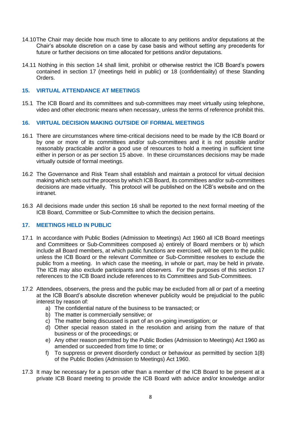- 14.10The Chair may decide how much time to allocate to any petitions and/or deputations at the Chair's absolute discretion on a case by case basis and without setting any precedents for future or further decisions on time allocated for petitions and/or deputations.
- 14.11 Nothing in this section 14 shall limit, prohibit or otherwise restrict the ICB Board's powers contained in section 17 (meetings held in public) or 18 (confidentiality) of these Standing Orders.

#### **15. VIRTUAL ATTENDANCE AT MEETINGS**

15.1 The ICB Board and its committees and sub-committees may meet virtually using telephone, video and other electronic means when necessary, unless the terms of reference prohibit this.

## **16. VIRTUAL DECISION MAKING OUTSIDE OF FORMAL MEETINGS**

- 16.1 There are circumstances where time-critical decisions need to be made by the ICB Board or by one or more of its committees and/or sub-committees and it is not possible and/or reasonably practicable and/or a good use of resources to hold a meeting in sufficient time either in person or as per section 15 above. In these circumstances decisions may be made virtually outside of formal meetings.
- 16.2 The Governance and Risk Team shall establish and maintain a protocol for virtual decision making which sets out the process by which ICB Board, its committees and/or sub-committees decisions are made virtually. This protocol will be published on the ICB's website and on the intranet.
- 16.3 All decisions made under this section 16 shall be reported to the next formal meeting of the ICB Board, Committee or Sub-Committee to which the decision pertains.

## **17. MEETINGS HELD IN PUBLIC**

- 17.1 In accordance with Public Bodies (Admission to Meetings) Act 1960 all ICB Board meetings and Committees or Sub-Committees composed a) entirely of Board members or b) which include all Board members, at which public functions are exercised, will be open to the public unless the ICB Board or the relevant Committee or Sub-Committee resolves to exclude the public from a meeting. In which case the meeting, in whole or part, may be held in private. The ICB may also exclude participants and observers. For the purposes of this section 17 references to the ICB Board include references to its Committees and Sub-Committees.
- 17.2 Attendees, observers, the press and the public may be excluded from all or part of a meeting at the ICB Board's absolute discretion whenever publicity would be prejudicial to the public interest by reason of:
	- a) The confidential nature of the business to be transacted; or
	- b) The matter is commercially sensitive; or
	- c) The matter being discussed is part of an on-going investigation; or
	- d) Other special reason stated in the resolution and arising from the nature of that business or of the proceedings; or
	- e) Any other reason permitted by the Public Bodies (Admission to Meetings) Act 1960 as amended or succeeded from time to time; or
	- f) To suppress or prevent disorderly conduct or behaviour as permitted by section 1(8) of the Public Bodies (Admission to Meetings) Act 1960.
- 17.3 It may be necessary for a person other than a member of the ICB Board to be present at a private ICB Board meeting to provide the ICB Board with advice and/or knowledge and/or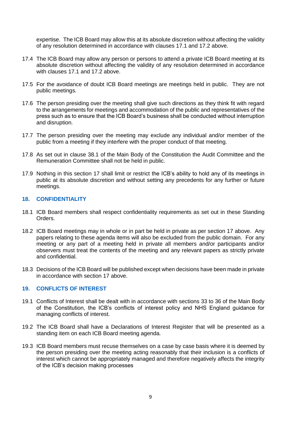expertise. The ICB Board may allow this at its absolute discretion without affecting the validity of any resolution determined in accordance with clauses 17.1 and 17.2 above.

- 17.4 The ICB Board may allow any person or persons to attend a private ICB Board meeting at its absolute discretion without affecting the validity of any resolution determined in accordance with clauses 17.1 and 17.2 above.
- 17.5 For the avoidance of doubt ICB Board meetings are meetings held in public. They are not public meetings.
- 17.6 The person presiding over the meeting shall give such directions as they think fit with regard to the arrangements for meetings and accommodation of the public and representatives of the press such as to ensure that the ICB Board's business shall be conducted without interruption and disruption.
- 17.7 The person presiding over the meeting may exclude any individual and/or member of the public from a meeting if they interfere with the proper conduct of that meeting.
- 17.8 As set out in clause 38.1 of the Main Body of the Constitution the Audit Committee and the Remuneration Committee shall not be held in public.
- 17.9 Nothing in this section 17 shall limit or restrict the ICB's ability to hold any of its meetings in public at its absolute discretion and without setting any precedents for any further or future meetings.

## **18. CONFIDENTIALITY**

- 18.1 ICB Board members shall respect confidentiality requirements as set out in these Standing Orders.
- 18.2 ICB Board meetings may in whole or in part be held in private as per section 17 above. Any papers relating to these agenda items will also be excluded from the public domain. For any meeting or any part of a meeting held in private all members and/or participants and/or observers must treat the contents of the meeting and any relevant papers as strictly private and confidential.
- 18.3 Decisions of the ICB Board will be published except when decisions have been made in private in accordance with section 17 above.

#### **19. CONFLICTS OF INTEREST**

- 19.1 Conflicts of Interest shall be dealt with in accordance with sections 33 to 36 of the Main Body of the Constitution, the ICB's conflicts of interest policy and NHS England guidance for managing conflicts of interest.
- 19.2 The ICB Board shall have a Declarations of Interest Register that will be presented as a standing item on each ICB Board meeting agenda.
- 19.3 ICB Board members must recuse themselves on a case by case basis where it is deemed by the person presiding over the meeting acting reasonably that their inclusion is a conflicts of interest which cannot be appropriately managed and therefore negatively affects the integrity of the ICB's decision making processes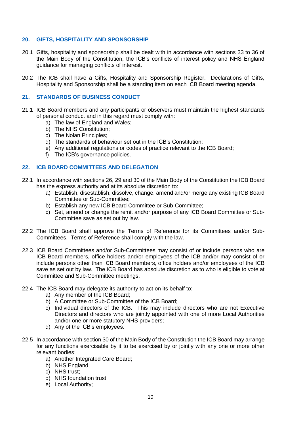## **20. GIFTS, HOSPITALITY AND SPONSORSHIP**

- 20.1 Gifts, hospitality and sponsorship shall be dealt with in accordance with sections 33 to 36 of the Main Body of the Constitution, the ICB's conflicts of interest policy and NHS England guidance for managing conflicts of interest.
- 20.2 The ICB shall have a Gifts, Hospitality and Sponsorship Register. Declarations of Gifts, Hospitality and Sponsorship shall be a standing item on each ICB Board meeting agenda.

## **21. STANDARDS OF BUSINESS CONDUCT**

- 21.1 ICB Board members and any participants or observers must maintain the highest standards of personal conduct and in this regard must comply with:
	- a) The law of England and Wales;
	- b) The NHS Constitution;
	- c) The Nolan Principles;
	- d) The standards of behaviour set out in the ICB's Constitution;
	- e) Any additional regulations or codes of practice relevant to the ICB Board;
	- f) The ICB's governance policies.

## **22. ICB BOARD COMMITTEES AND DELEGATION**

- 22.1 In accordance with sections 26, 29 and 30 of the Main Body of the Constitution the ICB Board has the express authority and at its absolute discretion to:
	- a) Establish, disestablish, dissolve, change, amend and/or merge any existing ICB Board Committee or Sub-Committee;
	- b) Establish any new ICB Board Committee or Sub-Committee;
	- c) Set, amend or change the remit and/or purpose of any ICB Board Committee or Sub-Committee save as set out by law.
- 22.2 The ICB Board shall approve the Terms of Reference for its Committees and/or Sub-Committees. Terms of Reference shall comply with the law.
- 22.3 ICB Board Committees and/or Sub-Committees may consist of or include persons who are ICB Board members, office holders and/or employees of the ICB and/or may consist of or include persons other than ICB Board members, office holders and/or employees of the ICB save as set out by law. The ICB Board has absolute discretion as to who is eligible to vote at Committee and Sub-Committee meetings.
- 22.4 The ICB Board may delegate its authority to act on its behalf to:
	- a) Any member of the ICB Board;
	- b) A Committee or Sub-Committee of the ICB Board;
	- c) Individual directors of the ICB. This may include directors who are not Executive Directors and directors who are jointly appointed with one of more Local Authorities and/or one or more statutory NHS providers;
	- d) Any of the ICB's employees.
- 22.5 In accordance with section 30 of the Main Body of the Constitution the ICB Board may arrange for any functions exercisable by it to be exercised by or jointly with any one or more other relevant bodies:
	- a) Another Integrated Care Board;
	- b) NHS England;
	- c) NHS trust;
	- d) NHS foundation trust;
	- e) Local Authority;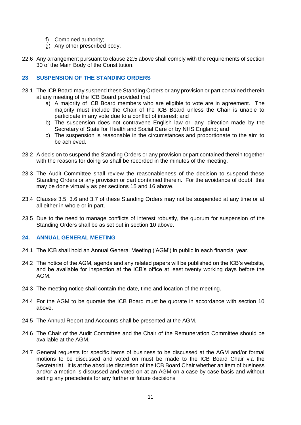- f) Combined authority;
- g) Any other prescribed body.
- 22.6 Any arrangement pursuant to clause 22.5 above shall comply with the requirements of section 30 of the Main Body of the Constitution.

## **23 SUSPENSION OF THE STANDING ORDERS**

- 23.1 The ICB Board may suspend these Standing Orders or any provision or part contained therein at any meeting of the ICB Board provided that:
	- a) A majority of ICB Board members who are eligible to vote are in agreement. The majority must include the Chair of the ICB Board unless the Chair is unable to participate in any vote due to a conflict of interest; and
	- b) The suspension does not contravene English law or any direction made by the Secretary of State for Health and Social Care or by NHS England; and
	- c) The suspension is reasonable in the circumstances and proportionate to the aim to be achieved.
- 23.2 A decision to suspend the Standing Orders or any provision or part contained therein together with the reasons for doing so shall be recorded in the minutes of the meeting.
- 23.3 The Audit Committee shall review the reasonableness of the decision to suspend these Standing Orders or any provision or part contained therein. For the avoidance of doubt, this may be done virtually as per sections 15 and 16 above.
- 23.4 Clauses 3.5, 3.6 and 3.7 of these Standing Orders may not be suspended at any time or at all either in whole or in part.
- 23.5 Due to the need to manage conflicts of interest robustly, the quorum for suspension of the Standing Orders shall be as set out in section 10 above.

## **24. ANNUAL GENERAL MEETING**

- 24.1 The ICB shall hold an Annual General Meeting ('AGM') in public in each financial year.
- 24.2 The notice of the AGM, agenda and any related papers will be published on the ICB's website, and be available for inspection at the ICB's office at least twenty working days before the AGM.
- 24.3 The meeting notice shall contain the date, time and location of the meeting.
- 24.4 For the AGM to be quorate the ICB Board must be quorate in accordance with section 10 above.
- 24.5 The Annual Report and Accounts shall be presented at the AGM.
- 24.6 The Chair of the Audit Committee and the Chair of the Remuneration Committee should be available at the AGM.
- 24.7 General requests for specific items of business to be discussed at the AGM and/or formal motions to be discussed and voted on must be made to the ICB Board Chair via the Secretariat. It is at the absolute discretion of the ICB Board Chair whether an item of business and/or a motion is discussed and voted on at an AGM on a case by case basis and without setting any precedents for any further or future decisions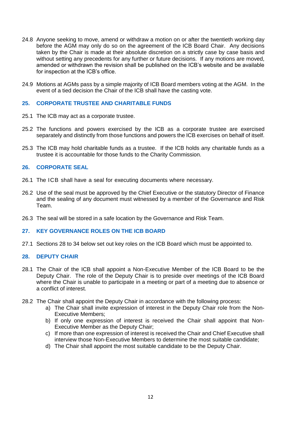- 24.8 Anyone seeking to move, amend or withdraw a motion on or after the twentieth working day before the AGM may only do so on the agreement of the ICB Board Chair. Any decisions taken by the Chair is made at their absolute discretion on a strictly case by case basis and without setting any precedents for any further or future decisions. If any motions are moved, amended or withdrawn the revision shall be published on the ICB's website and be available for inspection at the ICB's office.
- 24.9 Motions at AGMs pass by a simple majority of ICB Board members voting at the AGM. In the event of a tied decision the Chair of the ICB shall have the casting vote.

## **25. CORPORATE TRUSTEE AND CHARITABLE FUNDS**

- 25.1 The ICB may act as a corporate trustee.
- 25.2 The functions and powers exercised by the ICB as a corporate trustee are exercised separately and distinctly from those functions and powers the ICB exercises on behalf of itself.
- 25.3 The ICB may hold charitable funds as a trustee. If the ICB holds any charitable funds as a trustee it is accountable for those funds to the Charity Commission.

## **26. CORPORATE SEAL**

- 26.1 The ICB shall have a seal for executing documents where necessary.
- 26.2 Use of the seal must be approved by the Chief Executive or the statutory Director of Finance and the sealing of any document must witnessed by a member of the Governance and Risk Team.
- 26.3 The seal will be stored in a safe location by the Governance and Risk Team.

## **27. KEY GOVERNANCE ROLES ON THE ICB BOARD**

27.1 Sections 28 to 34 below set out key roles on the ICB Board which must be appointed to.

## **28. DEPUTY CHAIR**

- 28.1 The Chair of the ICB shall appoint a Non-Executive Member of the ICB Board to be the Deputy Chair. The role of the Deputy Chair is to preside over meetings of the ICB Board where the Chair is unable to participate in a meeting or part of a meeting due to absence or a conflict of interest.
- 28.2 The Chair shall appoint the Deputy Chair in accordance with the following process:
	- a) The Chair shall invite expression of interest in the Deputy Chair role from the Non-Executive Members;
	- b) If only one expression of interest is received the Chair shall appoint that Non-Executive Member as the Deputy Chair;
	- c) If more than one expression of interest is received the Chair and Chief Executive shall interview those Non-Executive Members to determine the most suitable candidate;
	- d) The Chair shall appoint the most suitable candidate to be the Deputy Chair.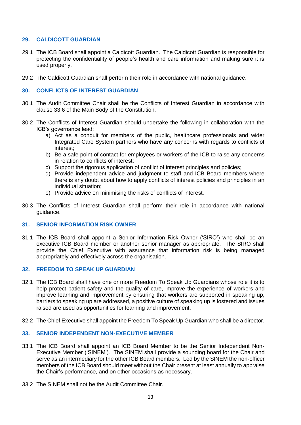## **29. CALDICOTT GUARDIAN**

- 29.1 The ICB Board shall appoint a Caldicott Guardian. The Caldicott Guardian is responsible for protecting the confidentiality of people's health and care information and making sure it is used properly.
- 29.2 The Caldicott Guardian shall perform their role in accordance with national guidance.

## **30. CONFLICTS OF INTEREST GUARDIAN**

- 30.1 The Audit Committee Chair shall be the Conflicts of Interest Guardian in accordance with clause 33.6 of the Main Body of the Constitution.
- 30.2 The Conflicts of Interest Guardian should undertake the following in collaboration with the ICB's governance lead:
	- a) Act as a conduit for members of the public, healthcare professionals and wider Integrated Care System partners who have any concerns with regards to conflicts of interest;
	- b) Be a safe point of contact for employees or workers of the ICB to raise any concerns in relation to conflicts of interest;
	- c) Support the rigorous application of conflict of interest principles and policies;
	- d) Provide independent advice and judgment to staff and ICB Board members where there is any doubt about how to apply conflicts of interest policies and principles in an individual situation;
	- e) Provide advice on minimising the risks of conflicts of interest.
- 30.3 The Conflicts of Interest Guardian shall perform their role in accordance with national guidance.

## **31. SENIOR INFORMATION RISK OWNER**

31.1 The ICB Board shall appoint a Senior Information Risk Owner ('SIRO') who shall be an executive ICB Board member or another senior manager as appropriate. The SIRO shall provide the Chief Executive with assurance that information risk is being managed appropriately and effectively across the organisation.

## **32. FREEDOM TO SPEAK UP GUARDIAN**

- 32.1 The ICB Board shall have one or more Freedom To Speak Up Guardians whose role it is to help protect patient safety and the quality of care, improve the experience of workers and improve learning and improvement by ensuring that workers are supported in speaking up, barriers to speaking up are addressed, a positive culture of speaking up is fostered and issues raised are used as opportunities for learning and improvement.
- 32.2 The Chief Executive shall appoint the Freedom To Speak Up Guardian who shall be a director.

## **33. SENIOR INDEPENDENT NON-EXECUTIVE MEMBER**

- 33.1 The ICB Board shall appoint an ICB Board Member to be the Senior Independent Non-Executive Member ('SINEM'). The SINEM shall provide a sounding board for the Chair and serve as an intermediary for the other ICB Board members. Led by the SINEM the non-officer members of the ICB Board should meet without the Chair present at least annually to appraise the Chair's performance, and on other occasions as necessary.
- 33.2 The SINEM shall not be the Audit Committee Chair.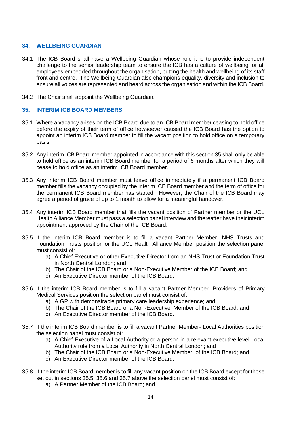## **34**. **WELLBEING GUARDIAN**

- 34.1 The ICB Board shall have a Wellbeing Guardian whose role it is to provide independent challenge to the senior leadership team to ensure the ICB has a culture of wellbeing for all employees embedded throughout the organisation, putting the health and wellbeing of its staff front and centre. The Wellbeing Guardian also champions equality, diversity and inclusion to ensure all voices are represented and heard across the organisation and within the ICB Board.
- 34.2 The Chair shall appoint the Wellbeing Guardian.

## **35. INTERIM ICB BOARD MEMBERS**

- 35.1 Where a vacancy arises on the ICB Board due to an ICB Board member ceasing to hold office before the expiry of their term of office howsoever caused the ICB Board has the option to appoint an interim ICB Board member to fill the vacant position to hold office on a temporary basis.
- 35.2 Any interim ICB Board member appointed in accordance with this section 35 shall only be able to hold office as an interim ICB Board member for a period of 6 months after which they will cease to hold office as an interim ICB Board member.
- 35.3 Any interim ICB Board member must leave office immediately if a permanent ICB Board member fills the vacancy occupied by the interim ICB Board member and the term of office for the permanent ICB Board member has started. However, the Chair of the ICB Board may agree a period of grace of up to 1 month to allow for a meaningful handover.
- 35.4 Any interim ICB Board member that fills the vacant position of Partner member or the UCL Health Alliance Member must pass a selection panel interview and thereafter have their interim appointment approved by the Chair of the ICB Board.
- 35.5 If the interim ICB Board member is to fill a vacant Partner Member- NHS Trusts and Foundation Trusts position or the UCL Health Alliance Member position the selection panel must consist of:
	- a) A Chief Executive or other Executive Director from an NHS Trust or Foundation Trust in North Central London; and
	- b) The Chair of the ICB Board or a Non-Executive Member of the ICB Board; and
	- c) An Executive Director member of the ICB Board.
- 35.6 If the interim ICB Board member is to fill a vacant Partner Member- Providers of Primary Medical Services position the selection panel must consist of:
	- a) A GP with demonstrable primary care leadership experience; and
	- b) The Chair of the ICB Board or a Non-Executive Member of the ICB Board; and
	- c) An Executive Director member of the ICB Board.
- 35.7 If the interim ICB Board member is to fill a vacant Partner Member- Local Authorities position the selection panel must consist of:
	- a) A Chief Executive of a Local Authority or a person in a relevant executive level Local Authority role from a Local Authority in North Central London; and
	- b) The Chair of the ICB Board or a Non-Executive Member of the ICB Board; and
	- c) An Executive Director member of the ICB Board.
- 35.8 If the interim ICB Board member is to fill any vacant position on the ICB Board except for those set out in sections 35.5, 35.6 and 35.7 above the selection panel must consist of:
	- a) A Partner Member of the ICB Board; and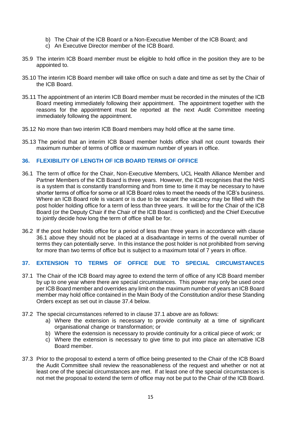- b) The Chair of the ICB Board or a Non-Executive Member of the ICB Board; and
- c) An Executive Director member of the ICB Board.
- 35.9 The interim ICB Board member must be eligible to hold office in the position they are to be appointed to.
- 35.10 The interim ICB Board member will take office on such a date and time as set by the Chair of the ICB Board.
- 35.11 The appointment of an interim ICB Board member must be recorded in the minutes of the ICB Board meeting immediately following their appointment. The appointment together with the reasons for the appointment must be reported at the next Audit Committee meeting immediately following the appointment.
- 35.12 No more than two interim ICB Board members may hold office at the same time.
- 35.13 The period that an interim ICB Board member holds office shall not count towards their maximum number of terms of office or maximum number of years in office.

## **36. FLEXIBILITY OF LENGTH OF ICB BOARD TERMS OF OFFICE**

- 36.1 The term of office for the Chair, Non-Executive Members, UCL Health Alliance Member and Partner Members of the ICB Board is three years. However, the ICB recognises that the NHS is a system that is constantly transforming and from time to time it may be necessary to have shorter terms of office for some or all ICB Board roles to meet the needs of the ICB's business. Where an ICB Board role is vacant or is due to be vacant the vacancy may be filled with the post holder holding office for a term of less than three years. It will be for the Chair of the ICB Board (or the Deputy Chair if the Chair of the ICB Board is conflicted) and the Chief Executive to jointly decide how long the term of office shall be for.
- 36.2 If the post holder holds office for a period of less than three years in accordance with clause 36.1 above they should not be placed at a disadvantage in terms of the overall number of terms they can potentially serve. In this instance the post holder is not prohibited from serving for more than two terms of office but is subject to a maximum total of 7 years in office.

## **37. EXTENSION TO TERMS OF OFFICE DUE TO SPECIAL CIRCUMSTANCES**

- 37.1 The Chair of the ICB Board may agree to extend the term of office of any ICB Board member by up to one year where there are special circumstances. This power may only be used once per ICB Board member and overrides any limit on the maximum number of years an ICB Board member may hold office contained in the Main Body of the Constitution and/or these Standing Orders except as set out in clause 37.4 below.
- 37.2 The special circumstances referred to in clause 37.1 above are as follows:
	- a) Where the extension is necessary to provide continuity at a time of significant organisational change or transformation; or
	- b) Where the extension is necessary to provide continuity for a critical piece of work; or
	- c) Where the extension is necessary to give time to put into place an alternative ICB Board member.
- 37.3 Prior to the proposal to extend a term of office being presented to the Chair of the ICB Board the Audit Committee shall review the reasonableness of the request and whether or not at least one of the special circumstances are met. If at least one of the special circumstances is not met the proposal to extend the term of office may not be put to the Chair of the ICB Board.